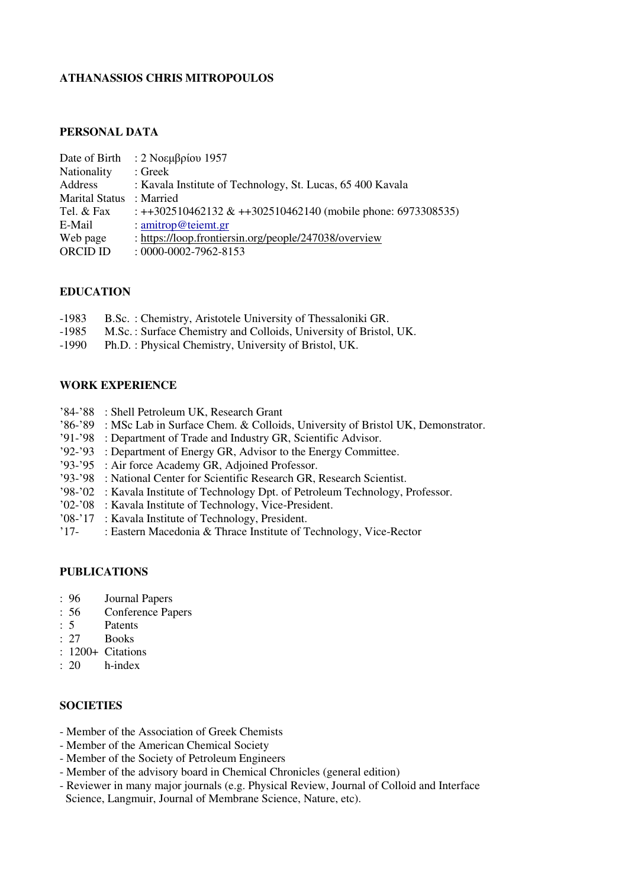### **ATHANASSIOS CHRIS MITROPOULOS**

### **PERSONAL DATA**

| Date of Birth         | : 2 Νοεμβρίου 1957                                           |
|-----------------------|--------------------------------------------------------------|
| Nationality           | : Greek                                                      |
| Address               | : Kavala Institute of Technology, St. Lucas, 65 400 Kavala   |
| <b>Marital Status</b> | : Married                                                    |
| Tel. & Fax            | : ++302510462132 & ++302510462140 (mobile phone: 6973308535) |
| E-Mail                | : amitrop@teiemt.gr                                          |
| Web page              | : https://loop.frontiersin.org/people/247038/overview        |
| <b>ORCID ID</b>       | $: 0000 - 0002 - 7962 - 8153$                                |
|                       |                                                              |

#### **EDUCATION**

- -1983 B.Sc. : Chemistry, Aristotele University of Thessaloniki GR.<br>-1985 M.Sc. : Surface Chemistry and Colloids. University of Bristol
- -1985 M.Sc. : Surface Chemistry and Colloids, University of Bristol, UK.<br>-1990 Ph.D. : Physical Chemistry. University of Bristol. UK.
- Ph.D. : Physical Chemistry, University of Bristol, UK.

#### **WORK EXPERIENCE**

- '84-'88 : Shell Petroleum UK, Research Grant
- '86-'89 : MSc Lab in Surface Chem. & Colloids, University of Bristol UK, Demonstrator.
- '91-'98 : Department of Trade and Industry GR, Scientific Advisor.
- '92-'93 : Department of Energy GR, Advisor to the Energy Committee.
- '93-'95 : Air force Academy GR, Adjoined Professor.
- '93-'98 : National Center for Scientific Research GR, Research Scientist.
- '98-'02 : Kavala Institute of Technology Dpt. of Petroleum Technology, Professor.
- '02-'08 : Kavala Institute of Technology, Vice-President.
- '08-'17 : Kavala Institute of Technology, President.
- : Eastern Macedonia & Thrace Institute of Technology, Vice-Rector

## **PUBLICATIONS**

- : 96 Journal Papers
- : 56 Conference Papers
- :  $5$  Patents<br> $\cdot$  27 Books
- Books<sup></sup>
- :  $1200+$  Citations<br>:  $20$  h-index
- h-index

### **SOCIETIES**

- Member of the Association of Greek Chemists
- Member of the American Chemical Society
- Member of the Society of Petroleum Engineers
- Member of the advisory board in Chemical Chronicles (general edition)
- Reviewer in many major journals (e.g. Physical Review, Journal of Colloid and Interface Science, Langmuir, Journal of Membrane Science, Nature, etc).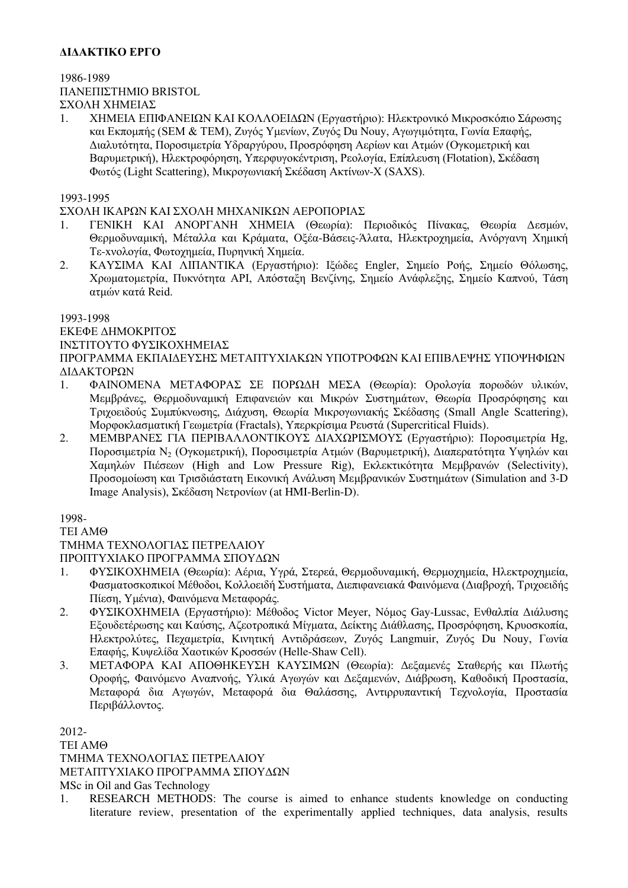# **ΔΙΔΑΚΤΙΚΟ ΕΡΓΟ**

# 1986-1989 ΠΑΝΕΠΙΣΤΗΜΙΟ BRISTOL ΣΧΟΛΗ ΧΗΜΕΙΑΣ

1. ΧΗΜΕΙΑ ΕΠΙΦΑΝΕΙΩΝ ΚΑΙ ΚΟΛΛΟΕΙΔΩΝ (Εργαστήριο): Ηλεκτρονικό Μικροσκόπιο Σάρωσης και Εκπομπής (SEM & TEM), Ζυγός Υμενίων, Ζυγός Du Nouy, Αγωγιμότητα, Γωνία Επαφής, Διαλυτότητα, Ποροσιμετρία Υδραργύρου, Προσρόφηση Αερίων και Ατμών (Ογκομετρική και Βαρυμετρική), Ηλεκτροφόρηση, Υπερφυγοκέντριση, Ρεολογία, Επίπλευση (Flotation), Σκέδαση Φωτός (Light Scattering), Μικρογωνιακή Σκέδαση Ακτίνων-Χ (SAXS).

## 1993-1995

## ΣΧΟΛΗ ΙΚΑΡΩΝ KAI ΣΧΟΛΗ ΜΗΧΑΝΙΚΩΝ ΑΕΡΟΠΟΡΙΑΣ

- 1. ΓΕΝΙΚΗ ΚΑΙ ΑΝΟΡΓΑΝΗ ΧΗΜΕΙΑ (Θεωρία): Περιοδικός Πίνακας, Θεωρία Δεσμών, Θερμοδυναμική, Μέταλλα και Κράματα, Οξέα-Βάσεις-Άλατα, Ηλεκτροχημεία, Ανόργανη Χημική Τε-xνολογία, Φωτοχημεία, Πυρηνική Χημεία.
- 2. ΚΑΥΣΙΜΑ ΚΑΙ ΛΙΠΑΝΤΙΚΑ (Εργαστήριο): Ιξώδες Engler, Σημείο Ροής, Σημείο Θόλωσης, Χρωματομετρία, Πυκνότητα ΑΡΙ, Απόσταξη Βενζίνης, Σημείο Ανάφλεξης, Σημείο Καπνού, Τάση ατμών κατά Reid.

### 1993-1998

#### ΕΚΕΦΕ ΔΗΜΟΚΡΙΤΟΣ ΙΝΣΤΙΤΟΥΤΟ ΦΥΣΙΚΟΧΗΜΕΙΑΣ

# ΠΡΟΓΡΑΜΜΑ ΕΚΠΑΙΔΕΥΣΗΣ ΜΕΤΑΠΤΥΧΙΑΚΩΝ ΥΠΟΤΡΟΦΩΝ ΚΑΙ ΕΠΙΒΛΕΨΗΣ ΥΠΟΨΗΦΙΩΝ ΔΙΔΑΚΤΟΡΩΝ

- 1. ΦΑΙΝΟΜΕΝΑ ΜΕΤΑΦΟΡΑΣ ΣΕ ΠΟΡΩΔΗ ΜΕΣΑ (Θεωρία): Ορολογία πορωδών υλικών, Μεμβράνες, Θερμοδυναμική Επιφανειών και Μικρών Συστημάτων, Θεωρία Προσρόφησης και Τριχοειδούς Συμπύκνωσης, Διάχυση, Θεωρία Μικρογωνιακής Σκέδασης (Small Angle Scattering), Μορφοκλασματική Γεωμετρία (Fractals), Υπερκρίσιμα Ρευστά (Supercritical Fluids).
- 2. ΜΕΜΒΡΑΝΕΣ ΓΙΑ ΠΕΡΙΒΑΛΛΟΝΤΙΚΟΥΣ ΔΙΑΧΩΡΙΣΜΟΥΣ (Εργαστήριο): Ποροσιμετρία Hg, Ποροσιμετρία Ν<sup>2</sup> (Ογκομετρική), Ποροσιμετρία Ατμών (Βαρυμετρική), Διαπερατότητα Υψηλών και Χαμηλών Πιέσεων (High and Low Pressure Rig), Εκλεκτικότητα Μεμβρανών (Selectivity), Προσομοίωση και Τρισδιάστατη Εικονική Ανάλυση Μεμβρανικών Συστημάτων (Simulation and 3-D Image Analysis), Σκέδαση Νετρονίων (at HMI-Berlin-D).

1998-

### ΤΕΙ ΑΜΘ

## ΤΜΗΜΑ ΤΕΧΝΟΛΟΓΙΑΣ ΠΕΤΡΕΛΑΙΟΥ

ΠΡΟΠΤΥΧΙΑΚΟ ΠΡΟΓΡΑΜΜΑ ΣΠΟΥΔΩΝ

- 1. ΦΥΣΙΚΟΧΗΜΕΙΑ (Θεωρία): Αέρια, Υγρά, Στερεά, Θερμοδυναμική, Θερμοχημεία, Ηλεκτροχημεία, Φασματοσκοπικοί Μέθοδοι, Κολλοειδή Συστήματα, Διεπιφανειακά Φαινόμενα (Διαβροχή, Τριχοειδής Πίεση, Υμένια), Φαινόμενα Μεταφοράς.
- 2. ΦΥΣΙΚΟΧΗΜΕΙΑ (Εργαστήριο): Μέθοδος Victor Meyer, Νόμος Gay-Lussac, Ενθαλπία Διάλυσης Εξουδετέρωσης και Καύσης, Αζεοτροπικά Μίγματα, Δείκτης Διάθλασης, Προσρόφηση, Κρυοσκοπία, Ηλεκτρολύτες, Πεχαμετρία, Κινητική Αντιδράσεων, Ζυγός Langmuir, Ζυγός Du Nouy, Γωνία Επαφής, Κυψελίδα Χαοτικών Κροσσών (Helle-Shaw Cell).
- 3. ΜΕΤΑΦΟΡΑ ΚΑΙ ΑΠΟΘΗΚΕΥΣΗ ΚΑΥΣΙΜΩΝ (Θεωρία): Δεξαμενές Σταθερής και Πλωτής Οροφής, Φαινόμενο Αναπνοής, Υλικά Αγωγών και Δεξαμενών, Διάβρωση, Καθοδική Προστασία, Μεταφορά δια Αγωγών, Μεταφορά δια Θαλάσσης, Αντιρρυπαντική Τεχνολογία, Προστασία Περιβάλλοντος.

2012- ΤΕΙ ΑΜΘ ΤΜΗΜΑ ΤΕΧΝΟΛΟΓΙΑΣ ΠΕΤΡΕΛΑΙΟΥ ΜΕΤΑΠΤΥΧΙΑΚΟ ΠΡΟΓΡΑΜΜΑ ΣΠΟΥΔΩΝ MSc in Oil and Gas Technology

1. RESEARCH METHODS: The course is aimed to enhance students knowledge on conducting literature review, presentation of the experimentally applied techniques, data analysis, results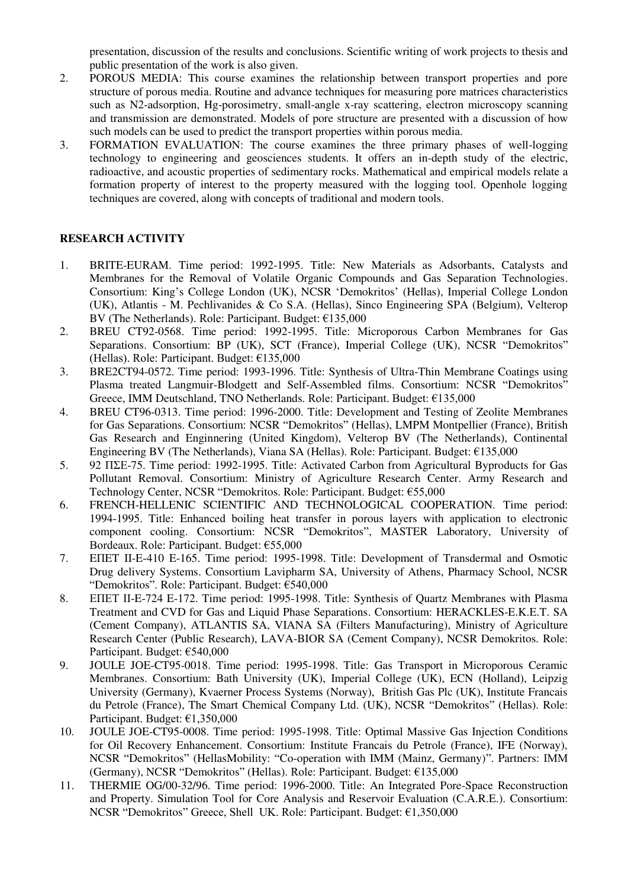presentation, discussion of the results and conclusions. Scientific writing of work projects to thesis and public presentation of the work is also given.

- 2. POROUS MEDIA: This course examines the relationship between transport properties and pore structure of porous media. Routine and advance techniques for measuring pore matrices characteristics such as N2-adsorption, Hg-porosimetry, small-angle x-ray scattering, electron microscopy scanning and transmission are demonstrated. Models of pore structure are presented with a discussion of how such models can be used to predict the transport properties within porous media.
- 3. FORMATION EVALUATION: The course examines the three primary phases of well-logging technology to engineering and geosciences students. It offers an in-depth study of the electric, radioactive, and acoustic properties of sedimentary rocks. Mathematical and empirical models relate a formation property of interest to the property measured with the logging tool. Openhole logging techniques are covered, along with concepts of traditional and modern tools.

## **RESEARCH ACTIVITY**

- 1. BRITE-EURAM. Time period: 1992-1995. Title: New Materials as Adsorbants, Catalysts and Membranes for the Removal of Volatile Organic Compounds and Gas Separation Technologies. Consortium: King's College London (UK), NCSR 'Demokritos' (Hellas), Imperial College London (UK), Atlantis - M. Pechlivanides & Co S.A. (Hellas), Sinco Engineering SPA (Belgium), Velterop BV (The Netherlands). Role: Participant. Budget: €135,000
- 2. BREU CT92-0568. Time period: 1992-1995. Title: Microporous Carbon Membranes for Gas Separations. Consortium: BP (UK), SCT (France), Imperial College (UK), NCSR "Demokritos" (Hellas). Role: Participant. Budget: €135,000
- 3. BRE2CT94-0572. Time period: 1993-1996. Title: Synthesis of Ultra-Thin Membrane Coatings using Plasma treated Langmuir-Blodgett and Self-Assembled films. Consortium: NCSR "Demokritos" Greece, IMM Deutschland, TNO Netherlands. Role: Participant. Budget: €135,000
- 4. BREU CT96-0313. Time period: 1996-2000. Title: Development and Testing of Zeolite Membranes for Gas Separations. Consortium: NCSR "Demokritos" (Hellas), LMPM Montpellier (France), British Gas Research and Enginnering (United Kingdom), Velterop BV (The Netherlands), Continental Engineering BV (The Netherlands), Viana SA (Hellas). Role: Participant. Budget: €135,000
- 5. 92 ΠΣΕ-75. Time period: 1992-1995. Title: Activated Carbon from Agricultural Byproducts for Gas Pollutant Removal. Consortium: Ministry of Agriculture Research Center. Army Research and Technology Center, NCSR "Demokritos. Role: Participant. Budget: €55,000
- 6. FRENCH-HELLENIC SCIENTIFIC AND TECHNOLOGICAL COOPERATION. Time period: 1994-1995. Title: Enhanced boiling heat transfer in porous layers with application to electronic component cooling. Consortium: NCSR "Demokritos", MASTER Laboratory, University of Bordeaux. Role: Participant. Budget: €55,000
- 7. EΠET II-E-410 E-165. Time period: 1995-1998. Title: Development of Transdermal and Osmotic Drug delivery Systems. Consortium Lavipharm SA, University of Athens, Pharmacy School, NCSR "Demokritos". Role: Participant. Budget: €540,000
- 8. ΕΠΕΤ ΙΙ-E-724 E-172. Time period: 1995-1998. Title: Synthesis of Quartz Membranes with Plasma Treatment and CVD for Gas and Liquid Phase Separations. Consortium: HERACKLES-E.K.E.T. SA (Cement Company), ATLANTIS SA, VIANA SA (Filters Manufacturing), Ministry of Agriculture Research Center (Public Research), LAVA-BIOR SA (Cement Company), NCSR Demokritos. Role: Participant. Budget: €540,000
- 9. JOULE JOE-CT95-0018. Time period: 1995-1998. Title: Gas Transport in Microporous Ceramic Membranes. Consortium: Bath University (UK), Imperial College (UK), ECN (Holland), Leipzig University (Germany), Kvaerner Process Systems (Norway), British Gas Plc (UK), Institute Francais du Petrole (France), The Smart Chemical Company Ltd. (UK), NCSR "Demokritos" (Hellas). Role: Participant. Budget: €1,350,000
- 10. JOULE JOE-CT95-0008. Time period: 1995-1998. Title: Optimal Massive Gas Injection Conditions for Oil Recovery Enhancement. Consortium: Institute Francais du Petrole (France), IFE (Norway), NCSR "Demokritos" (HellasMobility: "Co-operation with IMM (Mainz, Germany)". Partners: ΙΜΜ (Germany), NCSR "Demokritos" (Hellas). Role: Participant. Budget: €135,000
- 11. ΤHERMIE OG/00-32/96. Time period: 1996-2000. Title: An Integrated Pore-Space Reconstruction and Property. Simulation Tool for Core Analysis and Reservoir Evaluation (C.A.R.E.). Consortium: NCSR "Demokritos" Greece, Shell UK. Role: Participant. Budget: €1,350,000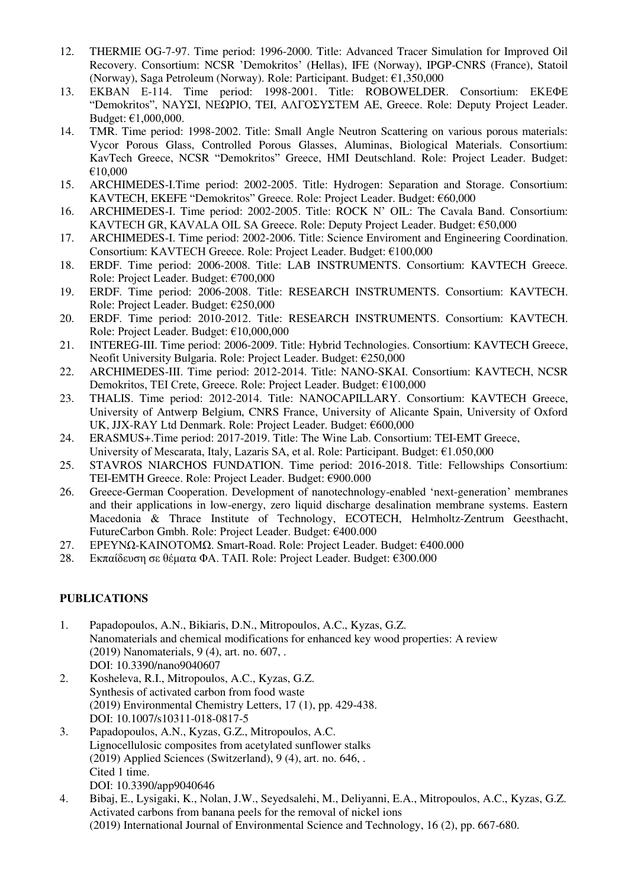- 12. THERMIE OG-7-97. Time period: 1996-2000. Title: Advanced Tracer Simulation for Improved Oil Recovery. Consortium: NCSR 'Demokritos' (Hellas), IFE (Norway), IPGP-CNRS (France), Statoil (Norway), Saga Petroleum (Norway). Role: Participant. Budget: €1,350,000
- 13. ΕΚΒΑΝ Ε-114. Time period: 1998-2001. Title: ROBOWELDER. Consortium: ΕΚΕΦΕ "Demokritos", ΝΑΥΣΙ, ΝΕΩΡΙΟ, TEI, ΑΛΓΟΣΥΣΤΕΜ AE, Greece. Role: Deputy Project Leader. Budget: €1,000,000.
- 14. TMR. Time period: 1998-2002. Title: Small Angle Neutron Scattering on various porous materials: Vycor Porous Glass, Controlled Porous Glasses, Aluminas, Biological Materials. Consortium: KavTech Greece, NCSR "Demokritos" Greece, ΗΜI Deutschland. Role: Project Leader. Budget: €10,000
- 15. ARCHIMEDES-I.Time period: 2002-2005. Title: Hydrogen: Separation and Storage. Consortium: KAVTECH, EKEFE "Demokritos" Greece. Role: Project Leader. Budget: €60,000
- 16. ARCHIMEDES-I. Time period: 2002-2005. Title: ROCK N' OIL: The Cavala Band. Consortium: KAVTECH GR, KAVALA OIL SA Greece. Role: Deputy Project Leader. Budget: €50,000
- 17. ARCHIMEDES-I. Time period: 2002-2006. Title: Science Enviroment and Engineering Coordination. Consortium: KAVTECH Greece. Role: Project Leader. Budget: €100,000
- 18. ERDF. Time period: 2006-2008. Title: LAB INSTRUMENTS. Consortium: KAVTECH Greece. Role: Project Leader. Budget: €700,000
- 19. ERDF. Time period: 2006-2008. Title: RESEARCH INSTRUMENTS. Consortium: KAVTECH. Role: Project Leader. Budget: €250,000
- 20. ERDF. Time period: 2010-2012. Title: RESEARCH INSTRUMENTS. Consortium: KAVTECH. Role: Project Leader. Budget: €10,000,000
- 21. INTEREG-III. Time period: 2006-2009. Title: Hybrid Technologies. Consortium: KAVTECH Greece, Neofit University Bulgaria. Role: Project Leader. Budget: €250,000
- 22. ARCHIMEDES-III. Time period: 2012-2014. Title: NANO-SKAI. Consortium: KAVTECH, NCSR Demokritos, TEI Crete, Greece. Role: Project Leader. Budget: €100,000
- 23. THALIS. Time period: 2012-2014. Title: NANOCAPILLARY. Consortium: KAVTECH Greece, University of Antwerp Belgium, CNRS France, University of Alicante Spain, University of Oxford UK, JJX-RAY Ltd Denmark. Role: Project Leader. Budget: €600,000
- 24. ERASMUS+.Time period: 2017-2019. Title: The Wine Lab. Consortium: TEI-EMT Greece, University of Mescarata, Italy, Lazaris SA, et al. Role: Participant. Budget: €1.050,000
- 25. STAVROS NIARCHOS FUNDATION. Time period: 2016-2018. Title: Fellowships Consortium: TEI-EMTH Greece. Role: Project Leader. Budget: €900.000
- 26. Greece-German Cooperation. Development of nanotechnology-enabled 'next-generation' membranes and their applications in low-energy, zero liquid discharge desalination membrane systems. Eastern Macedonia & Thrace Institute of Technology, ECOTECH, Helmholtz-Zentrum Geesthacht, FutureCarbon Gmbh. Role: Project Leader. Budget: €400.000
- 27. ΕΡΕΥΝΩ-ΚΑΙΝΟΤΟΜΩ. Smart-Road. Role: Project Leader. Budget: €400.000
- 28. Εκπαίδευση σε θέματα ΦΑ. ΤΑΠ. Role: Project Leader. Budget: €300.000

## **PUBLICATIONS**

- 1. Papadopoulos, A.N., Bikiaris, D.N., Mitropoulos, A.C., Kyzas, G.Z. Nanomaterials and chemical modifications for enhanced key wood properties: A review (2019) Nanomaterials, 9 (4), art. no. 607, . DOI: 10.3390/nano9040607
- 2. Kosheleva, R.I., Mitropoulos, A.C., Kyzas, G.Z. Synthesis of activated carbon from food waste (2019) Environmental Chemistry Letters, 17 (1), pp. 429-438. DOI: 10.1007/s10311-018-0817-5
- 3. Papadopoulos, A.N., Kyzas, G.Z., Mitropoulos, A.C. Lignocellulosic composites from acetylated sunflower stalks (2019) Applied Sciences (Switzerland), 9 (4), art. no. 646, . Cited 1 time. DOI: 10.3390/app9040646
- 4. Bibaj, E., Lysigaki, K., Nolan, J.W., Seyedsalehi, M., Deliyanni, E.A., Mitropoulos, A.C., Kyzas, G.Z. Activated carbons from banana peels for the removal of nickel ions (2019) International Journal of Environmental Science and Technology, 16 (2), pp. 667-680.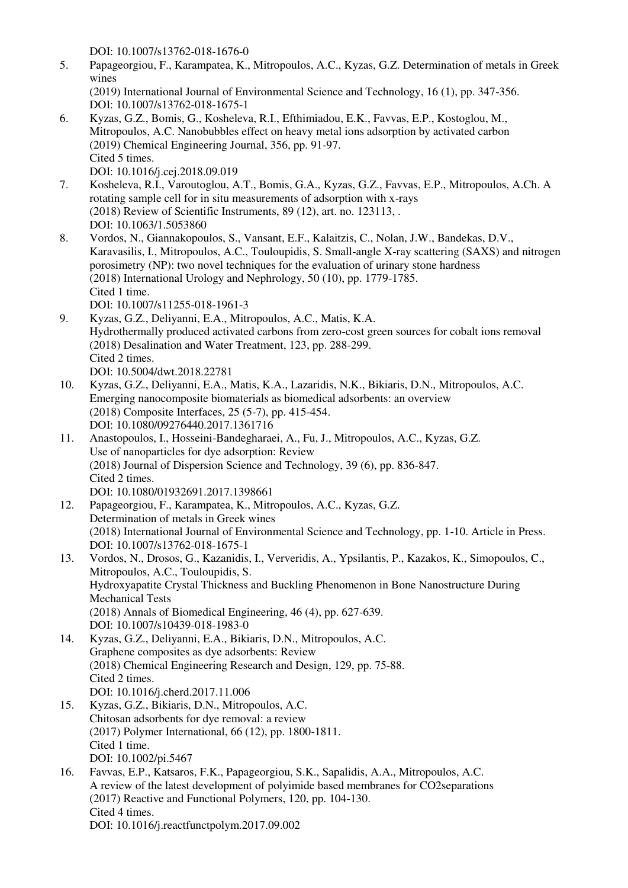DOI: 10.1007/s13762-018-1676-0

- 5. Papageorgiou, F., Karampatea, K., Mitropoulos, A.C., Kyzas, G.Z. Determination of metals in Greek wines (2019) International Journal of Environmental Science and Technology, 16 (1), pp. 347-356. DOI: 10.1007/s13762-018-1675-1
- 6. Kyzas, G.Z., Bomis, G., Kosheleva, R.I., Efthimiadou, E.K., Favvas, E.P., Kostoglou, M., Mitropoulos, A.C. Nanobubbles effect on heavy metal ions adsorption by activated carbon (2019) Chemical Engineering Journal, 356, pp. 91-97. Cited 5 times.
- DOI: 10.1016/j.cej.2018.09.019 7. Kosheleva, R.I., Varoutoglou, A.T., Bomis, G.A., Kyzas, G.Z., Favvas, E.P., Mitropoulos, A.Ch. A rotating sample cell for in situ measurements of adsorption with x-rays (2018) Review of Scientific Instruments, 89 (12), art. no. 123113, . DOI: 10.1063/1.5053860
	- 8. Vordos, N., Giannakopoulos, S., Vansant, E.F., Kalaitzis, C., Nolan, J.W., Bandekas, D.V., Karavasilis, I., Mitropoulos, A.C., Touloupidis, S. Small-angle X-ray scattering (SAXS) and nitrogen porosimetry (NP): two novel techniques for the evaluation of urinary stone hardness (2018) International Urology and Nephrology, 50 (10), pp. 1779-1785. Cited 1 time. DOI: 10.1007/s11255-018-1961-3
	- 9. Kyzas, G.Z., Deliyanni, E.A., Mitropoulos, A.C., Matis, K.A. Hydrothermally produced activated carbons from zero-cost green sources for cobalt ions removal (2018) Desalination and Water Treatment, 123, pp. 288-299. Cited 2 times. DOI: 10.5004/dwt.2018.22781
	- 10. Kyzas, G.Z., Deliyanni, E.A., Matis, K.A., Lazaridis, N.K., Bikiaris, D.N., Mitropoulos, A.C. Emerging nanocomposite biomaterials as biomedical adsorbents: an overview (2018) Composite Interfaces, 25 (5-7), pp. 415-454. DOI: 10.1080/09276440.2017.1361716
	- 11. Anastopoulos, I., Hosseini-Bandegharaei, A., Fu, J., Mitropoulos, A.C., Kyzas, G.Z. Use of nanoparticles for dye adsorption: Review (2018) Journal of Dispersion Science and Technology, 39 (6), pp. 836-847. Cited 2 times. DOI: 10.1080/01932691.2017.1398661
	- 12. Papageorgiou, F., Karampatea, K., Mitropoulos, A.C., Kyzas, G.Z. Determination of metals in Greek wines (2018) International Journal of Environmental Science and Technology, pp. 1-10. Article in Press. DOI: 10.1007/s13762-018-1675-1
	- 13. Vordos, N., Drosos, G., Kazanidis, I., Ververidis, A., Ypsilantis, P., Kazakos, K., Simopoulos, C., Mitropoulos, A.C., Touloupidis, S. Hydroxyapatite Crystal Thickness and Buckling Phenomenon in Bone Nanostructure During Mechanical Tests (2018) Annals of Biomedical Engineering, 46 (4), pp. 627-639. DOI: 10.1007/s10439-018-1983-0
	- 14. Kyzas, G.Z., Deliyanni, E.A., Bikiaris, D.N., Mitropoulos, A.C. Graphene composites as dye adsorbents: Review (2018) Chemical Engineering Research and Design, 129, pp. 75-88. Cited 2 times. DOI: 10.1016/j.cherd.2017.11.006
	- 15. Kyzas, G.Z., Bikiaris, D.N., Mitropoulos, A.C. Chitosan adsorbents for dye removal: a review (2017) Polymer International, 66 (12), pp. 1800-1811. Cited 1 time. DOI: 10.1002/pi.5467
	- 16. Favvas, E.P., Katsaros, F.K., Papageorgiou, S.K., Sapalidis, A.A., Mitropoulos, A.C. A review of the latest development of polyimide based membranes for CO2separations (2017) Reactive and Functional Polymers, 120, pp. 104-130. Cited 4 times. DOI: 10.1016/j.reactfunctpolym.2017.09.002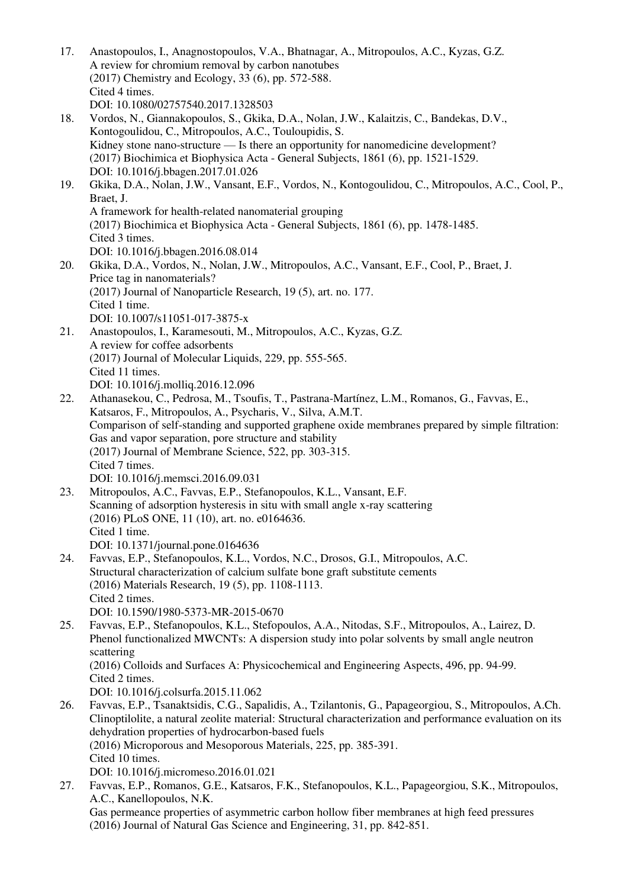17. Anastopoulos, I., Anagnostopoulos, V.A., Bhatnagar, A., Mitropoulos, A.C., Kyzas, G.Z. A review for chromium removal by carbon nanotubes (2017) Chemistry and Ecology, 33 (6), pp. 572-588. Cited 4 times. DOI: 10.1080/02757540.2017.1328503 18. Vordos, N., Giannakopoulos, S., Gkika, D.A., Nolan, J.W., Kalaitzis, C., Bandekas, D.V., Kontogoulidou, C., Mitropoulos, A.C., Touloupidis, S. Kidney stone nano-structure — Is there an opportunity for nanomedicine development? (2017) Biochimica et Biophysica Acta - General Subjects, 1861 (6), pp. 1521-1529. DOI: 10.1016/j.bbagen.2017.01.026 19. Gkika, D.A., Nolan, J.W., Vansant, E.F., Vordos, N., Kontogoulidou, C., Mitropoulos, A.C., Cool, P., Braet, J. A framework for health-related nanomaterial grouping (2017) Biochimica et Biophysica Acta - General Subjects, 1861 (6), pp. 1478-1485. Cited 3 times. DOI: 10.1016/j.bbagen.2016.08.014 20. Gkika, D.A., Vordos, N., Nolan, J.W., Mitropoulos, A.C., Vansant, E.F., Cool, P., Braet, J. Price tag in nanomaterials? (2017) Journal of Nanoparticle Research, 19 (5), art. no. 177. Cited 1 time. DOI: 10.1007/s11051-017-3875-x 21. Anastopoulos, I., Karamesouti, M., Mitropoulos, A.C., Kyzas, G.Z. A review for coffee adsorbents (2017) Journal of Molecular Liquids, 229, pp. 555-565. Cited 11 times. DOI: 10.1016/j.molliq.2016.12.096 22. Athanasekou, C., Pedrosa, M., Tsoufis, T., Pastrana-Martínez, L.M., Romanos, G., Favvas, E., Katsaros, F., Mitropoulos, A., Psycharis, V., Silva, A.M.T. Comparison of self-standing and supported graphene oxide membranes prepared by simple filtration: Gas and vapor separation, pore structure and stability (2017) Journal of Membrane Science, 522, pp. 303-315. Cited 7 times. DOI: 10.1016/j.memsci.2016.09.031 23. Mitropoulos, A.C., Favvas, E.P., Stefanopoulos, K.L., Vansant, E.F. Scanning of adsorption hysteresis in situ with small angle x-ray scattering (2016) PLoS ONE, 11 (10), art. no. e0164636. Cited 1 time. DOI: 10.1371/journal.pone.0164636 24. Favvas, E.P., Stefanopoulos, K.L., Vordos, N.C., Drosos, G.I., Mitropoulos, A.C. Structural characterization of calcium sulfate bone graft substitute cements (2016) Materials Research, 19 (5), pp. 1108-1113. Cited 2 times. DOI: 10.1590/1980-5373-MR-2015-0670 25. Favvas, E.P., Stefanopoulos, K.L., Stefopoulos, A.A., Nitodas, S.F., Mitropoulos, A., Lairez, D. Phenol functionalized MWCNTs: A dispersion study into polar solvents by small angle neutron scattering (2016) Colloids and Surfaces A: Physicochemical and Engineering Aspects, 496, pp. 94-99. Cited 2 times. DOI: 10.1016/j.colsurfa.2015.11.062 26. Favvas, E.P., Tsanaktsidis, C.G., Sapalidis, A., Tzilantonis, G., Papageorgiou, S., Mitropoulos, A.Ch. Clinoptilolite, a natural zeolite material: Structural characterization and performance evaluation on its dehydration properties of hydrocarbon-based fuels (2016) Microporous and Mesoporous Materials, 225, pp. 385-391. Cited 10 times. DOI: 10.1016/j.micromeso.2016.01.021 27. Favvas, E.P., Romanos, G.E., Katsaros, F.K., Stefanopoulos, K.L., Papageorgiou, S.K., Mitropoulos, A.C., Kanellopoulos, N.K. Gas permeance properties of asymmetric carbon hollow fiber membranes at high feed pressures

(2016) Journal of Natural Gas Science and Engineering, 31, pp. 842-851.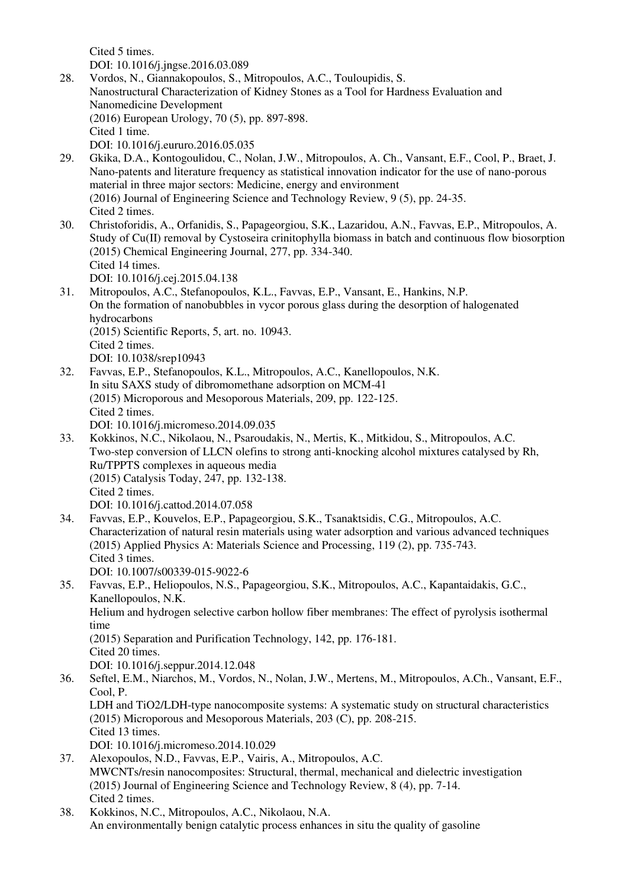Cited 5 times. DOI: 10.1016/j.jngse.2016.03.089

- 28. Vordos, N., Giannakopoulos, S., Mitropoulos, A.C., Touloupidis, S. Nanostructural Characterization of Kidney Stones as a Tool for Hardness Evaluation and Nanomedicine Development (2016) European Urology, 70 (5), pp. 897-898. Cited 1 time. DOI: 10.1016/j.eururo.2016.05.035
- 29. Gkika, D.A., Kontogoulidou, C., Nolan, J.W., Mitropoulos, A. Ch., Vansant, E.F., Cool, P., Braet, J. Nano-patents and literature frequency as statistical innovation indicator for the use of nano-porous material in three major sectors: Medicine, energy and environment (2016) Journal of Engineering Science and Technology Review, 9 (5), pp. 24-35. Cited 2 times.
- 30. Christoforidis, A., Orfanidis, S., Papageorgiou, S.K., Lazaridou, A.N., Favvas, E.P., Mitropoulos, A. Study of Cu(II) removal by Cystoseira crinitophylla biomass in batch and continuous flow biosorption (2015) Chemical Engineering Journal, 277, pp. 334-340. Cited 14 times. DOI: 10.1016/j.cej.2015.04.138
- 31. Mitropoulos, A.C., Stefanopoulos, K.L., Favvas, E.P., Vansant, E., Hankins, N.P. On the formation of nanobubbles in vycor porous glass during the desorption of halogenated hydrocarbons (2015) Scientific Reports, 5, art. no. 10943. Cited 2 times. DOI: 10.1038/srep10943
- 32. Favvas, E.P., Stefanopoulos, K.L., Mitropoulos, A.C., Kanellopoulos, N.K. In situ SAXS study of dibromomethane adsorption on MCM-41 (2015) Microporous and Mesoporous Materials, 209, pp. 122-125. Cited 2 times. DOI: 10.1016/j.micromeso.2014.09.035
- 33. Kokkinos, N.C., Nikolaou, N., Psaroudakis, N., Mertis, K., Mitkidou, S., Mitropoulos, A.C. Two-step conversion of LLCN olefins to strong anti-knocking alcohol mixtures catalysed by Rh, Ru/TPPTS complexes in aqueous media (2015) Catalysis Today, 247, pp. 132-138. Cited 2 times. DOI: 10.1016/j.cattod.2014.07.058
- 34. Favvas, E.P., Kouvelos, E.P., Papageorgiou, S.K., Tsanaktsidis, C.G., Mitropoulos, A.C. Characterization of natural resin materials using water adsorption and various advanced techniques (2015) Applied Physics A: Materials Science and Processing, 119 (2), pp. 735-743. Cited 3 times. DOI: 10.1007/s00339-015-9022-6
- 35. Favvas, E.P., Heliopoulos, N.S., Papageorgiou, S.K., Mitropoulos, A.C., Kapantaidakis, G.C., Kanellopoulos, N.K. Helium and hydrogen selective carbon hollow fiber membranes: The effect of pyrolysis isothermal time (2015) Separation and Purification Technology, 142, pp. 176-181. Cited 20 times. DOI: 10.1016/j.seppur.2014.12.048
- 36. Seftel, E.M., Niarchos, M., Vordos, N., Nolan, J.W., Mertens, M., Mitropoulos, A.Ch., Vansant, E.F., Cool, P. LDH and TiO2/LDH-type nanocomposite systems: A systematic study on structural characteristics (2015) Microporous and Mesoporous Materials, 203 (C), pp. 208-215. Cited 13 times.
	- DOI: 10.1016/j.micromeso.2014.10.029
- 37. Alexopoulos, N.D., Favvas, E.P., Vairis, A., Mitropoulos, A.C. MWCNTs/resin nanocomposites: Structural, thermal, mechanical and dielectric investigation (2015) Journal of Engineering Science and Technology Review, 8 (4), pp. 7-14. Cited 2 times.
- 38. Kokkinos, N.C., Mitropoulos, A.C., Nikolaou, N.A. An environmentally benign catalytic process enhances in situ the quality of gasoline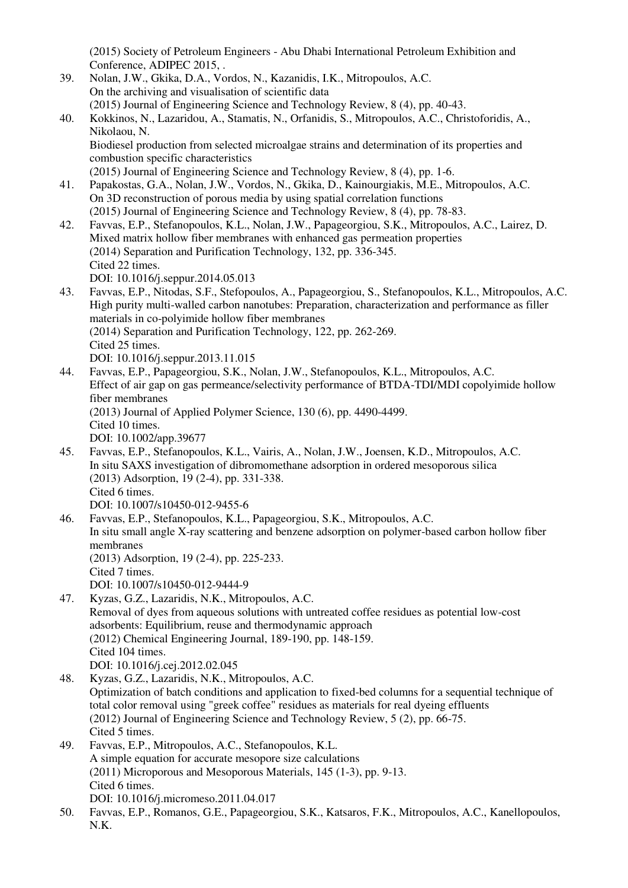(2015) Society of Petroleum Engineers - Abu Dhabi International Petroleum Exhibition and Conference, ADIPEC 2015, .

39. Nolan, J.W., Gkika, D.A., Vordos, N., Kazanidis, I.K., Mitropoulos, A.C. On the archiving and visualisation of scientific data (2015) Journal of Engineering Science and Technology Review, 8 (4), pp. 40-43. 40. Kokkinos, N., Lazaridou, A., Stamatis, N., Orfanidis, S., Mitropoulos, A.C., Christoforidis, A., Nikolaou, N. Biodiesel production from selected microalgae strains and determination of its properties and combustion specific characteristics (2015) Journal of Engineering Science and Technology Review, 8 (4), pp. 1-6. 41. Papakostas, G.A., Nolan, J.W., Vordos, N., Gkika, D., Kainourgiakis, M.E., Mitropoulos, A.C. On 3D reconstruction of porous media by using spatial correlation functions (2015) Journal of Engineering Science and Technology Review, 8 (4), pp. 78-83. 42. Favvas, E.P., Stefanopoulos, K.L., Nolan, J.W., Papageorgiou, S.K., Mitropoulos, A.C., Lairez, D. Mixed matrix hollow fiber membranes with enhanced gas permeation properties (2014) Separation and Purification Technology, 132, pp. 336-345. Cited 22 times. DOI: 10.1016/j.seppur.2014.05.013 43. Favvas, E.P., Nitodas, S.F., Stefopoulos, A., Papageorgiou, S., Stefanopoulos, K.L., Mitropoulos, A.C. High purity multi-walled carbon nanotubes: Preparation, characterization and performance as filler materials in co-polyimide hollow fiber membranes (2014) Separation and Purification Technology, 122, pp. 262-269. Cited 25 times. DOI: 10.1016/j.seppur.2013.11.015 44. Favvas, E.P., Papageorgiou, S.K., Nolan, J.W., Stefanopoulos, K.L., Mitropoulos, A.C. Effect of air gap on gas permeance/selectivity performance of BTDA-TDI/MDI copolyimide hollow fiber membranes (2013) Journal of Applied Polymer Science, 130 (6), pp. 4490-4499. Cited 10 times. DOI: 10.1002/app.39677 45. Favvas, E.P., Stefanopoulos, K.L., Vairis, A., Nolan, J.W., Joensen, K.D., Mitropoulos, A.C. In situ SAXS investigation of dibromomethane adsorption in ordered mesoporous silica (2013) Adsorption, 19 (2-4), pp. 331-338. Cited 6 times. DOI: 10.1007/s10450-012-9455-6 46. Favvas, E.P., Stefanopoulos, K.L., Papageorgiou, S.K., Mitropoulos, A.C. In situ small angle X-ray scattering and benzene adsorption on polymer-based carbon hollow fiber membranes (2013) Adsorption, 19 (2-4), pp. 225-233. Cited 7 times. DOI: 10.1007/s10450-012-9444-9 47. Kyzas, G.Z., Lazaridis, N.K., Mitropoulos, A.C. Removal of dyes from aqueous solutions with untreated coffee residues as potential low-cost adsorbents: Equilibrium, reuse and thermodynamic approach (2012) Chemical Engineering Journal, 189-190, pp. 148-159. Cited 104 times. DOI: 10.1016/j.cej.2012.02.045 48. Kyzas, G.Z., Lazaridis, N.K., Mitropoulos, A.C. Optimization of batch conditions and application to fixed-bed columns for a sequential technique of total color removal using "greek coffee" residues as materials for real dyeing effluents (2012) Journal of Engineering Science and Technology Review, 5 (2), pp. 66-75. Cited 5 times. 49. Favvas, E.P., Mitropoulos, A.C., Stefanopoulos, K.L. A simple equation for accurate mesopore size calculations (2011) Microporous and Mesoporous Materials, 145 (1-3), pp. 9-13. Cited 6 times. DOI: 10.1016/j.micromeso.2011.04.017 50. Favvas, E.P., Romanos, G.E., Papageorgiou, S.K., Katsaros, F.K., Mitropoulos, A.C., Kanellopoulos, N.K.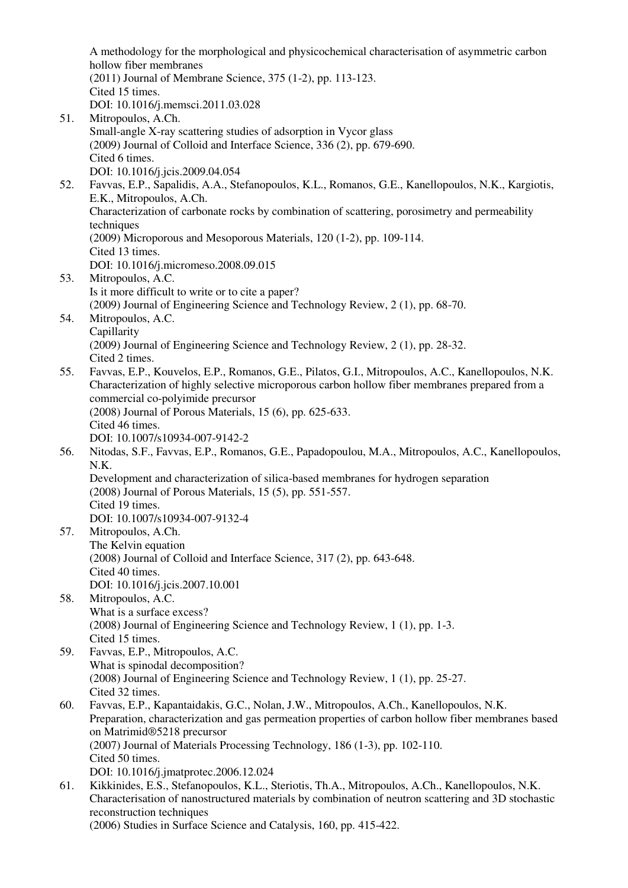A methodology for the morphological and physicochemical characterisation of asymmetric carbon hollow fiber membranes (2011) Journal of Membrane Science, 375 (1-2), pp. 113-123. Cited 15 times. DOI: 10.1016/j.memsci.2011.03.028 51. Mitropoulos, A.Ch. Small-angle X-ray scattering studies of adsorption in Vycor glass

- (2009) Journal of Colloid and Interface Science, 336 (2), pp. 679-690. Cited 6 times.
- DOI: 10.1016/j.jcis.2009.04.054
- 52. Favvas, E.P., Sapalidis, A.A., Stefanopoulos, K.L., Romanos, G.E., Kanellopoulos, N.K., Kargiotis, E.K., Mitropoulos, A.Ch. Characterization of carbonate rocks by combination of scattering, porosimetry and permeability techniques
	- (2009) Microporous and Mesoporous Materials, 120 (1-2), pp. 109-114.
	- Cited 13 times.
	- DOI: 10.1016/j.micromeso.2008.09.015
- 53. Mitropoulos, A.C. Is it more difficult to write or to cite a paper? (2009) Journal of Engineering Science and Technology Review, 2 (1), pp. 68-70.
- 54. Mitropoulos, A.C. Capillarity (2009) Journal of Engineering Science and Technology Review, 2 (1), pp. 28-32. Cited 2 times.
- 55. Favvas, E.P., Kouvelos, E.P., Romanos, G.E., Pilatos, G.I., Mitropoulos, A.C., Kanellopoulos, N.K. Characterization of highly selective microporous carbon hollow fiber membranes prepared from a commercial co-polyimide precursor (2008) Journal of Porous Materials, 15 (6), pp. 625-633. Cited 46 times. DOI: 10.1007/s10934-007-9142-2
- 56. Nitodas, S.F., Favvas, E.P., Romanos, G.E., Papadopoulou, M.A., Mitropoulos, A.C., Kanellopoulos, N.K. Development and characterization of silica-based membranes for hydrogen separation (2008) Journal of Porous Materials, 15 (5), pp. 551-557.

Cited 19 times.

- DOI: 10.1007/s10934-007-9132-4
- 57. Mitropoulos, A.Ch. The Kelvin equation (2008) Journal of Colloid and Interface Science, 317 (2), pp. 643-648. Cited 40 times. DOI: 10.1016/j.jcis.2007.10.001
- 58. Mitropoulos, A.C. What is a surface excess? (2008) Journal of Engineering Science and Technology Review, 1 (1), pp. 1-3. Cited 15 times.
- 59. Favvas, E.P., Mitropoulos, A.C. What is spinodal decomposition? (2008) Journal of Engineering Science and Technology Review, 1 (1), pp. 25-27. Cited 32 times.
- 60. Favvas, E.P., Kapantaidakis, G.C., Nolan, J.W., Mitropoulos, A.Ch., Kanellopoulos, N.K. Preparation, characterization and gas permeation properties of carbon hollow fiber membranes based on Matrimid®5218 precursor (2007) Journal of Materials Processing Technology, 186 (1-3), pp. 102-110. Cited 50 times. DOI: 10.1016/j.jmatprotec.2006.12.024
- 61. Kikkinides, E.S., Stefanopoulos, K.L., Steriotis, Th.A., Mitropoulos, A.Ch., Kanellopoulos, N.K. Characterisation of nanostructured materials by combination of neutron scattering and 3D stochastic reconstruction techniques (2006) Studies in Surface Science and Catalysis, 160, pp. 415-422.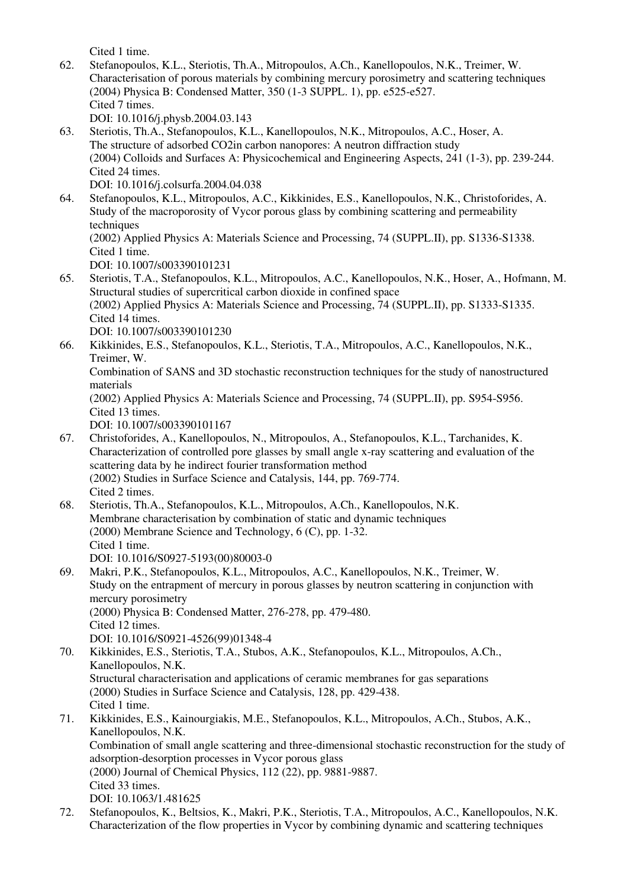Cited 1 time.

- 62. Stefanopoulos, K.L., Steriotis, Th.A., Mitropoulos, A.Ch., Kanellopoulos, N.K., Treimer, W. Characterisation of porous materials by combining mercury porosimetry and scattering techniques (2004) Physica B: Condensed Matter, 350 (1-3 SUPPL. 1), pp. e525-e527. Cited 7 times. DOI: 10.1016/j.physb.2004.03.143
- 63. Steriotis, Th.A., Stefanopoulos, K.L., Kanellopoulos, N.K., Mitropoulos, A.C., Hoser, A. The structure of adsorbed CO2in carbon nanopores: A neutron diffraction study (2004) Colloids and Surfaces A: Physicochemical and Engineering Aspects, 241 (1-3), pp. 239-244. Cited 24 times. DOI: 10.1016/j.colsurfa.2004.04.038
- 64. Stefanopoulos, K.L., Mitropoulos, A.C., Kikkinides, E.S., Kanellopoulos, N.K., Christoforides, A. Study of the macroporosity of Vycor porous glass by combining scattering and permeability techniques (2002) Applied Physics A: Materials Science and Processing, 74 (SUPPL.II), pp. S1336-S1338. Cited 1 time.
	- DOI: 10.1007/s003390101231
- 65. Steriotis, T.A., Stefanopoulos, K.L., Mitropoulos, A.C., Kanellopoulos, N.K., Hoser, A., Hofmann, M. Structural studies of supercritical carbon dioxide in confined space (2002) Applied Physics A: Materials Science and Processing, 74 (SUPPL.II), pp. S1333-S1335. Cited 14 times. DOI: 10.1007/s003390101230
- 66. Kikkinides, E.S., Stefanopoulos, K.L., Steriotis, T.A., Mitropoulos, A.C., Kanellopoulos, N.K., Treimer, W. Combination of SANS and 3D stochastic reconstruction techniques for the study of nanostructured materials (2002) Applied Physics A: Materials Science and Processing, 74 (SUPPL.II), pp. S954-S956. Cited 13 times. DOI: 10.1007/s003390101167
- 67. Christoforides, A., Kanellopoulos, N., Mitropoulos, A., Stefanopoulos, K.L., Tarchanides, K. Characterization of controlled pore glasses by small angle x-ray scattering and evaluation of the scattering data by he indirect fourier transformation method (2002) Studies in Surface Science and Catalysis, 144, pp. 769-774. Cited 2 times.
- 68. Steriotis, Th.A., Stefanopoulos, K.L., Mitropoulos, A.Ch., Kanellopoulos, N.K. Membrane characterisation by combination of static and dynamic techniques (2000) Membrane Science and Technology, 6 (C), pp. 1-32. Cited 1 time. DOI: 10.1016/S0927-5193(00)80003-0
- 69. Makri, P.K., Stefanopoulos, K.L., Mitropoulos, A.C., Kanellopoulos, N.K., Treimer, W. Study on the entrapment of mercury in porous glasses by neutron scattering in conjunction with mercury porosimetry (2000) Physica B: Condensed Matter, 276-278, pp. 479-480. Cited 12 times. DOI: 10.1016/S0921-4526(99)01348-4
- 70. Kikkinides, E.S., Steriotis, T.A., Stubos, A.K., Stefanopoulos, K.L., Mitropoulos, A.Ch., Kanellopoulos, N.K. Structural characterisation and applications of ceramic membranes for gas separations (2000) Studies in Surface Science and Catalysis, 128, pp. 429-438. Cited 1 time. 71. Kikkinides, E.S., Kainourgiakis, M.E., Stefanopoulos, K.L., Mitropoulos, A.Ch., Stubos, A.K., Kanellopoulos, N.K.
	- Combination of small angle scattering and three-dimensional stochastic reconstruction for the study of adsorption-desorption processes in Vycor porous glass (2000) Journal of Chemical Physics, 112 (22), pp. 9881-9887.
		- Cited 33 times.
		- DOI: 10.1063/1.481625
- 72. Stefanopoulos, K., Beltsios, K., Makri, P.K., Steriotis, T.A., Mitropoulos, A.C., Kanellopoulos, N.K. Characterization of the flow properties in Vycor by combining dynamic and scattering techniques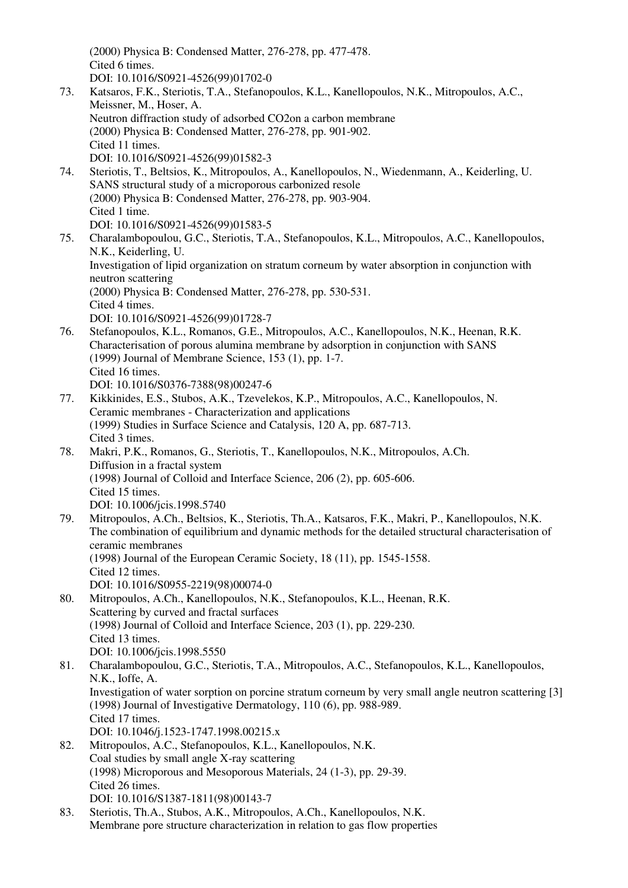(2000) Physica B: Condensed Matter, 276-278, pp. 477-478. Cited 6 times. DOI: 10.1016/S0921-4526(99)01702-0 73. Katsaros, F.K., Steriotis, T.A., Stefanopoulos, K.L., Kanellopoulos, N.K., Mitropoulos, A.C., Meissner, M., Hoser, A. Neutron diffraction study of adsorbed CO2on a carbon membrane (2000) Physica B: Condensed Matter, 276-278, pp. 901-902. Cited 11 times. DOI: 10.1016/S0921-4526(99)01582-3 74. Steriotis, T., Beltsios, K., Mitropoulos, A., Kanellopoulos, N., Wiedenmann, A., Keiderling, U. SANS structural study of a microporous carbonized resole (2000) Physica B: Condensed Matter, 276-278, pp. 903-904. Cited 1 time. DOI: 10.1016/S0921-4526(99)01583-5 75. Charalambopoulou, G.C., Steriotis, T.A., Stefanopoulos, K.L., Mitropoulos, A.C., Kanellopoulos, N.K., Keiderling, U. Investigation of lipid organization on stratum corneum by water absorption in conjunction with neutron scattering (2000) Physica B: Condensed Matter, 276-278, pp. 530-531. Cited 4 times. DOI: 10.1016/S0921-4526(99)01728-7

76. Stefanopoulos, K.L., Romanos, G.E., Mitropoulos, A.C., Kanellopoulos, N.K., Heenan, R.K. Characterisation of porous alumina membrane by adsorption in conjunction with SANS (1999) Journal of Membrane Science, 153 (1), pp. 1-7. Cited 16 times. DOI: 10.1016/S0376-7388(98)00247-6

- 77. Kikkinides, E.S., Stubos, A.K., Tzevelekos, K.P., Mitropoulos, A.C., Kanellopoulos, N. Ceramic membranes - Characterization and applications (1999) Studies in Surface Science and Catalysis, 120 A, pp. 687-713. Cited 3 times.
- 78. Makri, P.K., Romanos, G., Steriotis, T., Kanellopoulos, N.K., Mitropoulos, A.Ch. Diffusion in a fractal system (1998) Journal of Colloid and Interface Science, 206 (2), pp. 605-606. Cited 15 times. DOI: 10.1006/jcis.1998.5740
- 79. Mitropoulos, A.Ch., Beltsios, K., Steriotis, Th.A., Katsaros, F.K., Makri, P., Kanellopoulos, N.K. The combination of equilibrium and dynamic methods for the detailed structural characterisation of ceramic membranes (1998) Journal of the European Ceramic Society, 18 (11), pp. 1545-1558. Cited 12 times. DOI: 10.1016/S0955-2219(98)00074-0
- 80. Mitropoulos, A.Ch., Kanellopoulos, N.K., Stefanopoulos, K.L., Heenan, R.K. Scattering by curved and fractal surfaces (1998) Journal of Colloid and Interface Science, 203 (1), pp. 229-230. Cited 13 times. DOI: 10.1006/jcis.1998.5550
- 81. Charalambopoulou, G.C., Steriotis, T.A., Mitropoulos, A.C., Stefanopoulos, K.L., Kanellopoulos, N.K., Ioffe, A. Investigation of water sorption on porcine stratum corneum by very small angle neutron scattering [3] (1998) Journal of Investigative Dermatology, 110 (6), pp. 988-989. Cited 17 times. DOI: 10.1046/j.1523-1747.1998.00215.x 82. Mitropoulos, A.C., Stefanopoulos, K.L., Kanellopoulos, N.K.
- Coal studies by small angle X-ray scattering (1998) Microporous and Mesoporous Materials, 24 (1-3), pp. 29-39. Cited 26 times. DOI: 10.1016/S1387-1811(98)00143-7
- 83. Steriotis, Th.A., Stubos, A.K., Mitropoulos, A.Ch., Kanellopoulos, N.K. Membrane pore structure characterization in relation to gas flow properties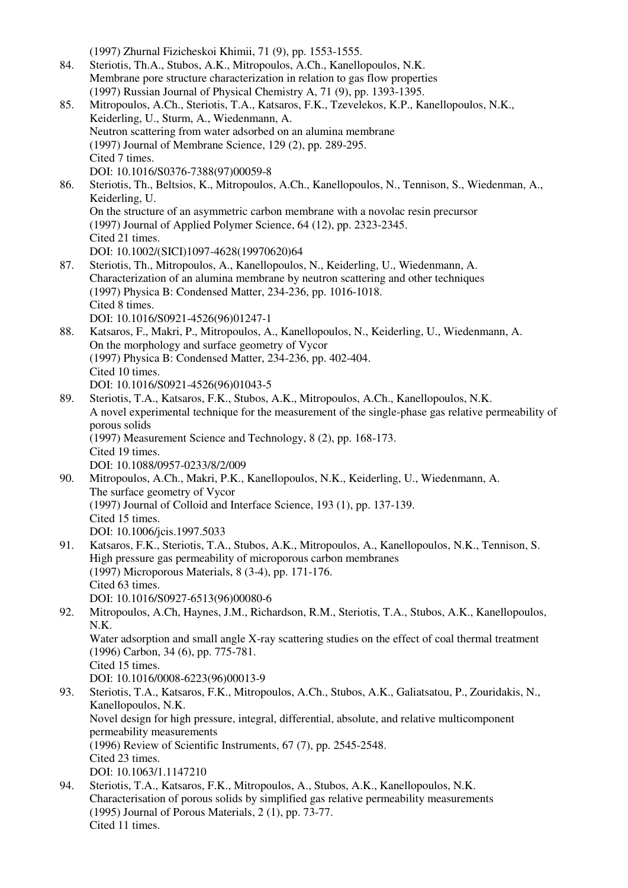(1997) Zhurnal Fizicheskoi Khimii, 71 (9), pp. 1553-1555. 84. Steriotis, Th.A., Stubos, A.K., Mitropoulos, A.Ch., Kanellopoulos, N.K. Membrane pore structure characterization in relation to gas flow properties (1997) Russian Journal of Physical Chemistry A, 71 (9), pp. 1393-1395. 85. Mitropoulos, A.Ch., Steriotis, T.A., Katsaros, F.K., Tzevelekos, K.P., Kanellopoulos, N.K., Keiderling, U., Sturm, A., Wiedenmann, A. Neutron scattering from water adsorbed on an alumina membrane (1997) Journal of Membrane Science, 129 (2), pp. 289-295. Cited 7 times. DOI: 10.1016/S0376-7388(97)00059-8 86. Steriotis, Th., Beltsios, K., Mitropoulos, A.Ch., Kanellopoulos, N., Tennison, S., Wiedenman, A., Keiderling, U. On the structure of an asymmetric carbon membrane with a novolac resin precursor (1997) Journal of Applied Polymer Science, 64 (12), pp. 2323-2345. Cited 21 times. DOI: 10.1002/(SICI)1097-4628(19970620)64 87. Steriotis, Th., Mitropoulos, A., Kanellopoulos, N., Keiderling, U., Wiedenmann, A. Characterization of an alumina membrane by neutron scattering and other techniques (1997) Physica B: Condensed Matter, 234-236, pp. 1016-1018. Cited 8 times. DOI: 10.1016/S0921-4526(96)01247-1 88. Katsaros, F., Makri, P., Mitropoulos, A., Kanellopoulos, N., Keiderling, U., Wiedenmann, A. On the morphology and surface geometry of Vycor (1997) Physica B: Condensed Matter, 234-236, pp. 402-404. Cited 10 times. DOI: 10.1016/S0921-4526(96)01043-5 89. Steriotis, T.A., Katsaros, F.K., Stubos, A.K., Mitropoulos, A.Ch., Kanellopoulos, N.K. A novel experimental technique for the measurement of the single-phase gas relative permeability of porous solids (1997) Measurement Science and Technology, 8 (2), pp. 168-173. Cited 19 times. DOI: 10.1088/0957-0233/8/2/009 90. Mitropoulos, A.Ch., Makri, P.K., Kanellopoulos, N.K., Keiderling, U., Wiedenmann, A. The surface geometry of Vycor (1997) Journal of Colloid and Interface Science, 193 (1), pp. 137-139. Cited 15 times. DOI: 10.1006/jcis.1997.5033 91. Katsaros, F.K., Steriotis, T.A., Stubos, A.K., Mitropoulos, A., Kanellopoulos, N.K., Tennison, S. High pressure gas permeability of microporous carbon membranes (1997) Microporous Materials, 8 (3-4), pp. 171-176. Cited 63 times. DOI: 10.1016/S0927-6513(96)00080-6 92. Mitropoulos, A.Ch, Haynes, J.M., Richardson, R.M., Steriotis, T.A., Stubos, A.K., Kanellopoulos, N.K. Water adsorption and small angle X-ray scattering studies on the effect of coal thermal treatment (1996) Carbon, 34 (6), pp. 775-781. Cited 15 times. DOI: 10.1016/0008-6223(96)00013-9 93. Steriotis, T.A., Katsaros, F.K., Mitropoulos, A.Ch., Stubos, A.K., Galiatsatou, P., Zouridakis, N., Kanellopoulos, N.K. Novel design for high pressure, integral, differential, absolute, and relative multicomponent permeability measurements (1996) Review of Scientific Instruments, 67 (7), pp. 2545-2548. Cited 23 times. DOI: 10.1063/1.1147210 94. Steriotis, T.A., Katsaros, F.K., Mitropoulos, A., Stubos, A.K., Kanellopoulos, N.K. Characterisation of porous solids by simplified gas relative permeability measurements (1995) Journal of Porous Materials, 2 (1), pp. 73-77. Cited 11 times.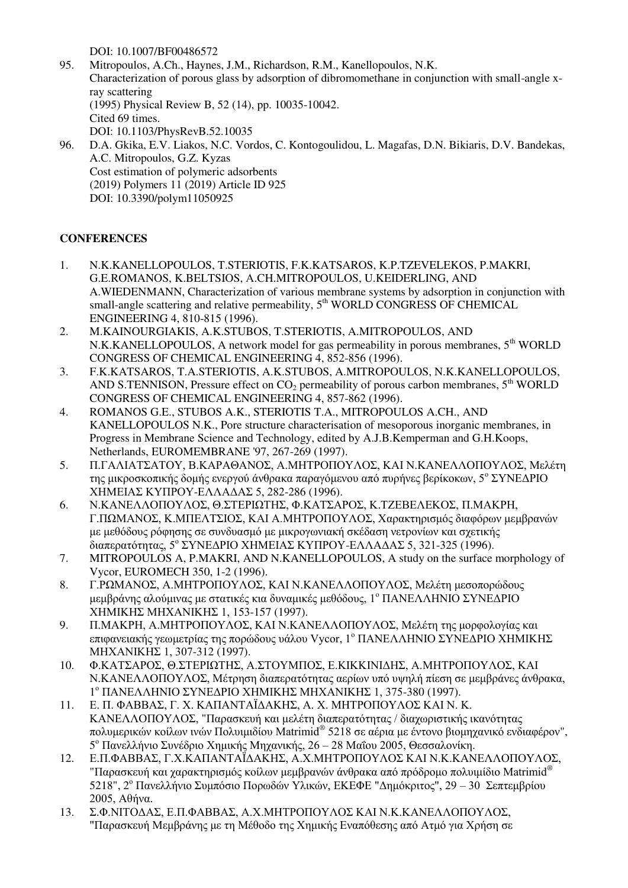DOI: 10.1007/BF00486572

- 95. Mitropoulos, A.Ch., Haynes, J.M., Richardson, R.M., Kanellopoulos, N.K. Characterization of porous glass by adsorption of dibromomethane in conjunction with small-angle xray scattering (1995) Physical Review B, 52 (14), pp. 10035-10042. Cited 69 times. DOI: 10.1103/PhysRevB.52.10035 96. D.A. Gkika, E.V. Liakos, N.C. Vordos, C. Kontogoulidou, L. Magafas, D.N. Bikiaris, D.V. Bandekas,
- A.C. Mitropoulos, G.Z. Kyzas Cost estimation of polymeric adsorbents (2019) Polymers 11 (2019) Article ID 925 DOI: 10.3390/polym11050925

# **CONFERENCES**

- 1. N.K.KANELLOPOULOS, T.STERIOTIS, F.K.KATSAROS, K.P.TZEVELEKOS, P.MAKRI, G.E.ROMANOS, K.BELTSIOS, Α.CH.MITROPOULOS, U.KEIDERLING, AND A.WIEDENMANN, Characterization of various membrane systems by adsorption in conjunction with small-angle scattering and relative permeability,  $5<sup>th</sup>$  WORLD CONGRESS OF CHEMICAL ENGINEERING 4, 810-815 (1996).
- 2. M.KAINOURGIAKIS, A.K.STUBOS, T.STERIOTIS, A.MITROPOULOS, AND N.K.KANELLOPOULOS, A network model for gas permeability in porous membranes, 5<sup>th</sup> WORLD CONGRESS OF CHEMICAL ENGINEERING 4, 852-856 (1996).
- 3. F.K.KATSAROS, T.A.STERIOTIS, A.K.STUBOS, A.MITROPOULOS, N.K.KANELLOPOULOS, AND S.TENNISON, Pressure effect on  $CO<sub>2</sub>$  permeability of porous carbon membranes,  $5<sup>th</sup>$  WORLD CONGRESS OF CHEMICAL ENGINEERING 4, 857-862 (1996).
- 4. ROMANOS G.E., STUBOS A.K., STERIOTIS T.A., MITROPOULOS A.CH., AND KANELLOPOULOS N.K., Pore structure characterisation of mesoporous inorganic membranes, in Progress in Membrane Science and Technology, edited by A.J.B.Kemperman and G.H.Koops, Netherlands, EUROMEMBRANE '97, 267-269 (1997).
- 5. Π.ΓΑΛΙΑΤΣΑΤΟΥ, Β.ΚΑΡΑΘΑΝΟΣ, Α.ΜΗΤΡΟΠΟΥΛΟΣ, ΚΑΙ Ν.ΚΑΝΕΛΛΟΠΟΥΛΟΣ, Μελέτη της μικροσκοπικής δομής ενεργού άνθρακα παραγόμενου από πυρήνες βερίκοκων, 5° ΣΥΝΕΔΡΙΟ ΧΗΜΕΙΑΣ ΚΥΠΡΟΥ-ΕΛΛΑΔΑΣ 5, 282-286 (1996).
- 6. Ν.ΚΑΝΕΛΛΟΠΟΥΛΟΣ, Θ.ΣΤΕΡΙΩΤΗΣ, Φ.ΚΑΤΣΑΡΟΣ, Κ.ΤΖΕΒΕΛΕΚΟΣ, Π.ΜΑΚΡΗ, Γ.ΠΩΜΑΝΟΣ, Κ.ΜΠΕΛΤΣΙΟΣ, ΚΑΙ Α.ΜΗΤΡΟΠΟΥΛΟΣ, Χαρακτηρισμός διαφόρων μεμβρανών με μεθόδους ρόφησης σε συνδυασμό με μικρογωνιακή σκέδαση νετρονίων και σχετικής διαπερατότητας, 5<sup>ο</sup> ΣΥΝΕΔΡΙΟ ΧΗΜΕΙΑΣ ΚΥΠΡΟΥ-ΕΛΛΑΔΑΣ 5, 321-325 (1996).
- 7. MITROPOULOS Α, P.MAKRI, AND N.KANELLOPOULOS, A study on the surface morphology of Vycor, EUROMECH 350, 1-2 (1996).
- 8. Γ.ΡΩΜΑΝΟΣ, Α.ΜΗΤΡΟΠΟΥΛΟΣ, ΚΑΙ Ν.ΚΑΝΕΛΛΟΠΟΥΛΟΣ, Μελέτη μεσοπορώδους μεμβράνης αλούμινας με στατικές κια δυναμικές μεθόδους, 1<sup>ο</sup> ΠΑΝΕΛΛΗΝΙΟ ΣΥΝΕΔΡΙΟ ΧΗΜΙΚΗΣ ΜΗΧΑΝΙΚΗΣ 1, 153-157 (1997).
- 9. Π.ΜΑΚΡΗ, Α.ΜΗΤΡΟΠΟΥΛΟΣ, ΚΑΙ Ν.ΚΑΝΕΛΛΟΠΟΥΛΟΣ, Μελέτη της μορφολογίας και επιφανειακής γεωμετρίας της πορώδους υάλου Vycor, 1<sup>°</sup> ΠΑΝΕΛΛΗΝΙΟ ΣΥΝΕΔΡΙΟ ΧΗΜΙΚΗΣ ΜΗΧΑΝΙΚΗΣ 1, 307-312 (1997).
- 10. Φ.ΚΑΤΣΑΡΟΣ, Θ.ΣΤΕΡΙΩΤΗΣ, Α.ΣΤΟΥΜΠΟΣ, Ε.ΚΙΚΚΙΝΙΔΗΣ, Α.ΜΗΤΡΟΠΟΥΛΟΣ, ΚΑΙ Ν.ΚΑΝΕΛΛΟΠΟΥΛΟΣ, Μέτρηση διαπερατότητας αερίων υπό υψηλή πίεση σε μεμβράνες άνθρακα, 1 <sup>ο</sup> ΠΑΝΕΛΛΗΝΙΟ ΣΥΝΕΔΡΙΟ ΧΗΜΙΚΗΣ ΜΗΧΑΝΙΚΗΣ 1, 375-380 (1997).
- 11. Ε. Π. ΦΑΒΒΑΣ, Γ. Χ. ΚΑΠΑΝΤΑΪΔΑΚΗΣ, Α. Χ. ΜΗΤΡΟΠΟΥΛΟΣ ΚΑΙ Ν. Κ. ΚΑΝΕΛΛΟΠΟΥΛΟΣ, "Παρασκευή και μελέτη διαπερατότητας / διαχωριστικής ικανότητας πολυμερικών κοίλων ινών Πολυιμιδίου Matrimid® 5218 σε αέρια με έντονο βιομηχανικό ενδιαφέρον", 5 <sup>ο</sup> Πανελλήνιο Συνέδριο Χημικής Μηχανικής, 26 – 28 Μαΐου 2005, Θεσσαλονίκη.
- 12. Ε.Π.ΦΑΒΒΑΣ, Γ.Χ.ΚΑΠΑΝΤΑΪΔΑΚΗΣ, Α.Χ.ΜΗΤΡΟΠΟΥΛΟΣ ΚΑΙ Ν.Κ.ΚΑΝΕΛΛΟΠΟΥΛΟΣ, "Παρασκευή και χαρακτηρισμός κοίλων μεμβρανών άνθρακα από πρόδρομο πολυιμίδιο Matrimid® 5218", 2<sup>ο</sup> Πανελλήνιο Συμπόσιο Πορωδών Υλικών, ΕΚΕΦΕ "Δημόκριτος", 29 – 30 Σεπτεμβρίου 2005, Αθήνα.
- 13. Σ.Φ.ΝΙΤΟΔΑΣ, Ε.Π.ΦΑΒΒΑΣ, Α.Χ.ΜΗΤΡΟΠΟΥΛΟΣ ΚΑΙ Ν.Κ.ΚΑΝΕΛΛΟΠΟΥΛΟΣ, "Παρασκευή Μεμβράνης με τη Μέθοδο της Χημικής Εναπόθεσης από Ατμό για Χρήση σε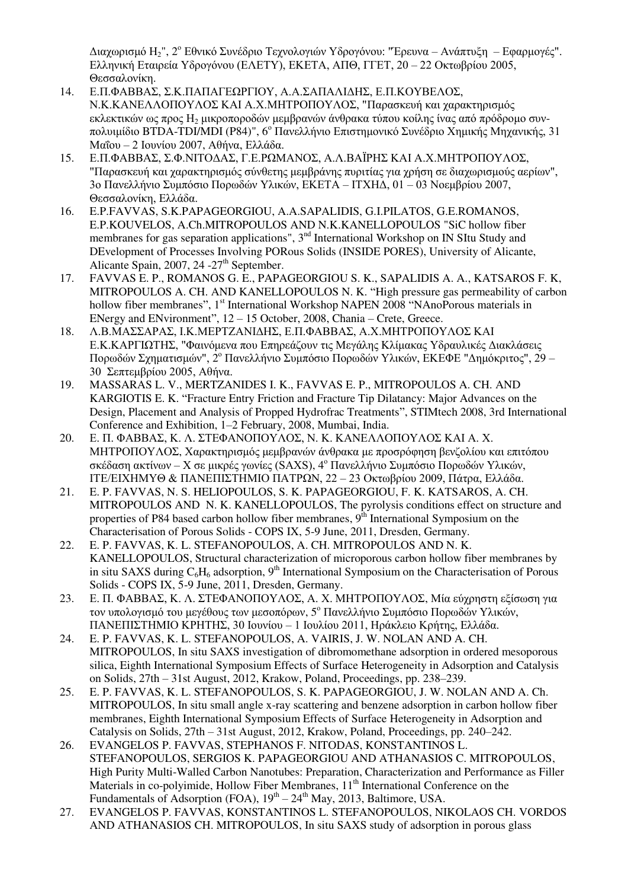Διαχωρισμό Η2", 2<sup>ο</sup> Εθνικό Συνέδριο Τεχνολογιών Υδρογόνου: "Έρευνα – Ανάπτυξη – Εφαρμογές". Ελληνική Εταιρεία Υδρογόνου (ΕΛΕΤΥ), ΕΚΕΤΑ, ΑΠΘ, ΓΓΕΤ, 20 – 22 Οκτωβρίου 2005, Θεσσαλονίκη.

- 14. Ε.Π.ΦΑΒΒΑΣ, Σ.Κ.ΠΑΠΑΓΕΩΡΓΙΟΥ, Α.Α.ΣΑΠΑΛΙΔΗΣ, Ε.Π.ΚΟΥΒΕΛΟΣ, Ν.Κ.ΚΑΝΕΛΛΟΠΟΥΛΟΣ ΚΑΙ Α.Χ.ΜΗΤΡΟΠΟΥΛΟΣ, "Παρασκευή και χαρακτηρισμός εκλεκτικών ως προς Η<sub>2</sub> μικροποροδών μεμβρανών άνθρακα τύπου κοίλης ίνας από πρόδρομο συνπολυιμίδιο BTDA-TDI/MDI (P84)", 6<sup>ο</sup> Πανελλήνιο Επιστημονικό Συνέδριο Χημικής Μηχανικής, 31 Μαΐου – 2 Ιουνίου 2007, Αθήνα, Ελλάδα.
- 15. Ε.Π.ΦΑΒΒΑΣ, Σ.Φ.ΝΙΤΟΔΑΣ, Γ.Ε.ΡΩΜΑΝΟΣ, Α.Λ.ΒΑΪΡΗΣ ΚΑΙ Α.Χ.ΜΗΤΡΟΠΟΥΛΟΣ, "Παρασκευή και χαρακτηρισμός σύνθετης μεμβράνης πυριτίας για χρήση σε διαχωρισμούς αερίων", 3ο Πανελλήνιο Συμπόσιο Πορωδών Υλικών, ΕΚΕΤΑ – ΙΤΧΗΔ, 01 – 03 Νοεμβρίου 2007, Θεσσαλονίκη, Ελλάδα.
- 16. E.P.FAVVAS, S.K.PAPAGEORGIOU, A.A.SAPALIDIS, G.I.PILATOS, G.E.ROMANOS, E.P.KOUVELOS, A.Ch.MITROPOULOS AND N.K.KANELLOPOULOS "SiC hollow fiber membranes for gas separation applications", 3<sup>nd</sup> International Workshop on IN SItu Study and DEvelopment of Processes Involving PORous Solids (INSIDE PORES), University of Alicante, Alicante Spain, 2007, 24 -27<sup>th</sup> September.
- 17. FAVVAS E. P., ROMANOS G. E., PAPAGEORGIOU S. K., SAPALIDIS A. A., KATSAROS F. K, MITROPOULOS A. CH. AND KANELLOPOULOS N. K. "High pressure gas permeability of carbon hollow fiber membranes", 1<sup>st</sup> International Workshop NAPEN 2008 "NAnoPorous materials in ENergy and ENvironment", 12 – 15 October, 2008, Chania – Crete, Greece.
- 18. Λ.Β.ΜΑΣΣΑΡΑΣ, Ι.Κ.ΜΕΡΤΖΑΝΙΔΗΣ, Ε.Π.ΦΑΒΒΑΣ, Α.Χ.ΜΗΤΡΟΠΟΥΛΟΣ ΚΑΙ Ε.Κ.ΚΑΡΓΙΩΤΗΣ, "Φαινόμενα που Επηρεάζουν τις Μεγάλης Κλίμακας Υδραυλικές Διακλάσεις Πορωδών Σχηματισμών", 2 <sup>ο</sup> Πανελλήνιο Συμπόσιο Πορωδών Υλικών, ΕΚΕΦΕ "Δημόκριτος", 29 – 30 Σεπτεμβρίου 2005, Αθήνα.
- 19. MASSARAS L. V., MERTZANIDES I. K., FAVVAS E. P., MITROPOULOS A. CH. AND KARGIOTIS E. K. "Fracture Entry Friction and Fracture Tip Dilatancy: Major Advances on the Design, Placement and Analysis of Propped Hydrofrac Treatments", STIMtech 2008, 3rd International Conference and Exhibition, 1–2 February, 2008, Mumbai, India.
- 20. Ε. Π. ΦΑΒΒΑΣ, Κ. Λ. ΣΤΕΦΑΝΟΠΟΥΛΟΣ, Ν. Κ. ΚΑΝΕΛΛΟΠΟΥΛΟΣ ΚΑΙ Α. Χ. ΜΗΤΡΟΠΟΥΛΟΣ, Χαρακτηρισμός μεμβρανών άνθρακα με προσρόφηση βενζολίου και επιτόπου σκέδαση ακτίνων – Χ σε μικρές γωνίες (SAXS),  $4^{\circ}$  Πανελλήνιο Συμπόσιο Πορωδών Υλικών, ΙΤΕ/ΕΙΧΗΜΥΘ & ΠΑΝΕΠΙΣΤΗΜΙΟ ΠΑΤΡΩΝ, 22 – 23 Οκτωβρίου 2009, Πάτρα, Ελλάδα.
- 21. E. P. FAVVAS, N. S. HELIOPOULOS, S. K. PAPAGEORGIOU, F. K. KATSAROS, A. CH. MITROPOULOS AND N. K. KANELLOPOULOS, The pyrolysis conditions effect on structure and properties of P84 based carbon hollow fiber membranes,  $9<sup>th</sup>$  International Symposium on the Characterisation of Porous Solids - COPS IX, 5-9 June, 2011, Dresden, Germany.
- 22. E. P. FAVVAS, K. L. STEFANOPOULOS, A. CH. MITROPOULOS AND N. K. KANELLOPOULOS, Structural characterization of microporous carbon hollow fiber membranes by in situ SAXS during  $C_6H_6$  adsorption,  $9<sup>th</sup>$  International Symposium on the Characterisation of Porous Solids - COPS IX, 5-9 June, 2011, Dresden, Germany.
- 23. Ε. Π. ΦΑΒΒΑΣ, Κ. Λ. ΣΤΕΦΑΝΟΠΟΥΛΟΣ, Α. Χ. ΜΗΤΡΟΠΟΥΛΟΣ, Μία εύχρηστη εξίσωση για τον υπολογισμό του μεγέθους των μεσοπόρων, 5<sup>ο</sup> Πανελλήνιο Συμπόσιο Πορωδών Υλικών, ΠΑΝΕΠΙΣΤΗΜΙΟ ΚΡΗΤΗΣ, 30 Ιουνίου – 1 Ιουλίου 2011, Ηράκλειο Κρήτης, Ελλάδα.
- 24. E. P. FAVVAS, K. L. STEFANOPOULOS, A. VAIRIS, J. W. NOLAN AND A. CH. MITROPOULOS, In situ SAXS investigation of dibromomethane adsorption in ordered mesoporous silica, Eighth International Symposium Effects of Surface Heterogeneity in Adsorption and Catalysis on Solids, 27th – 31st August, 2012, Krakow, Poland, Proceedings, pp. 238–239.
- 25. E. P. FAVVAS, K. L. STEFANOPOULOS, S. K. PAPAGEORGIOU, J. W. NOLAN AND A. Ch. MITROPOULOS, In situ small angle x-ray scattering and benzene adsorption in carbon hollow fiber membranes, Eighth International Symposium Effects of Surface Heterogeneity in Adsorption and Catalysis on Solids, 27th – 31st August, 2012, Krakow, Poland, Proceedings, pp. 240–242.
- 26. EVANGELOS P. FAVVAS, STEPHANOS F. NITODAS, KONSTANTINOS L. STEFANOPOULOS, SERGIOS K. PAPAGEORGIOU AND ATHANASIOS C. MITROPOULOS, High Purity Multi-Walled Carbon Nanotubes: Preparation, Characterization and Performance as Filler Materials in co-polyimide, Hollow Fiber Membranes, 11<sup>th</sup> International Conference on the Fundamentals of Adsorption (FOA),  $19<sup>th</sup> - 24<sup>th</sup>$  May, 2013, Baltimore, USA.
- 27. EVANGELOS P. FAVVAS, KONSTANTINOS L. STEFANOPOULOS, NIKOLAOS CH. VORDOS AND ATHANASIOS CH. MITROPOULOS, In situ SAXS study of adsorption in porous glass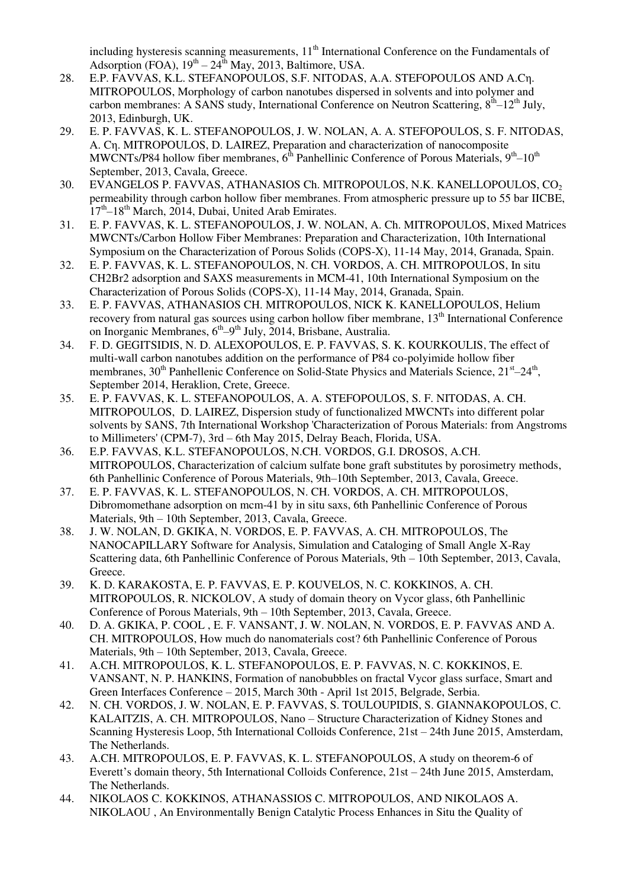including hysteresis scanning measurements, 11<sup>th</sup> International Conference on the Fundamentals of Adsorption (FOA),  $19<sup>th</sup> - 24<sup>th</sup>$  May, 2013, Baltimore, USA.

- 28. E.P. FAVVAS, K.L. STEFANOPOULOS, S.F. NITODAS, A.A. STEFOPOULOS AND A.Cη. MITROPOULOS, Morphology of carbon nanotubes dispersed in solvents and into polymer and carbon membranes: A SANS study, International Conference on Neutron Scattering,  $8<sup>th</sup>-12<sup>th</sup>$  July, 2013, Edinburgh, UK.
- 29. E. P. FAVVAS, K. L. STEFANOPOULOS, J. W. NOLAN, A. A. STEFOPOULOS, S. F. NITODAS, A. Cη. MITROPOULOS, D. LAIREZ, Preparation and characterization of nanocomposite MWCNTs/P84 hollow fiber membranes,  $6<sup>th</sup>$  Panhellinic Conference of Porous Materials,  $9<sup>th</sup>-10<sup>th</sup>$ September, 2013, Cavala, Greece.
- 30. EVANGELOS P. FAVVAS, ATHANASIOS Ch. MITROPOULOS, N.K. KANELLOPOULOS, CO<sub>2</sub> permeability through carbon hollow fiber membranes. From atmospheric pressure up to 55 bar IICBE,  $17<sup>th</sup> - 18<sup>th</sup>$  March, 2014, Dubai, United Arab Emirates.
- 31. E. P. FAVVAS, K. L. STEFANOPOULOS, J. W. NOLAN, A. Ch. MITROPOULOS, Mixed Matrices MWCNTs/Carbon Hollow Fiber Membranes: Preparation and Characterization, 10th International Symposium on the Characterization of Porous Solids (COPS-X), 11-14 May, 2014, Granada, Spain.
- 32. E. P. FAVVAS, K. L. STEFANOPOULOS, N. CH. VORDOS, A. CH. MITROPOULOS, In situ CH2Br2 adsorption and SAXS measurements in MCM-41, 10th International Symposium on the Characterization of Porous Solids (COPS-X), 11-14 May, 2014, Granada, Spain.
- 33. E. P. FAVVAS, ATHANASIOS CH. MITROPOULOS, NICK K. KANELLOPOULOS, Helium recovery from natural gas sources using carbon hollow fiber membrane, 13<sup>th</sup> International Conference on Inorganic Membranes, 6<sup>th</sup>-9<sup>th</sup> July, 2014, Brisbane, Australia.
- 34. F. D. GEGITSIDIS, N. D. ALEXOPOULOS, E. P. FAVVAS, S. K. KOURKOULIS, The effect of multi-wall carbon nanotubes addition on the performance of P84 co-polyimide hollow fiber membranes, 30<sup>th</sup> Panhellenic Conference on Solid-State Physics and Materials Science, 21<sup>st</sup>–24<sup>th</sup>, September 2014, Heraklion, Crete, Greece.
- 35. E. P. FAVVAS, K. L. STEFANOPOULOS, A. A. STEFOPOULOS, S. F. NITODAS, A. CH. MITROPOULOS, D. LAIREZ, Dispersion study of functionalized MWCNTs into different polar solvents by SANS, 7th International Workshop 'Characterization of Porous Materials: from Angstroms to Millimeters' (CPM-7), 3rd – 6th May 2015, Delray Beach, Florida, USA.
- 36. E.P. FAVVAS, K.L. STEFANOPOULOS, N.CH. VORDOS, G.I. DROSOS, A.CH. MITROPOULOS, Characterization of calcium sulfate bone graft substitutes by porosimetry methods, 6th Panhellinic Conference of Porous Materials, 9th–10th September, 2013, Cavala, Greece.
- 37. E. P. FAVVAS, K. L. STEFANOPOULOS, N. CH. VORDOS, A. CH. MITROPOULOS, Dibromomethane adsorption on mcm-41 by in situ saxs, 6th Panhellinic Conference of Porous Materials, 9th – 10th September, 2013, Cavala, Greece.
- 38. J. W. NOLAN, D. GKIKA, N. VORDOS, E. P. FAVVAS, A. CH. MITROPOULOS, The NANOCAPILLARY Software for Analysis, Simulation and Cataloging of Small Angle X-Ray Scattering data, 6th Panhellinic Conference of Porous Materials, 9th – 10th September, 2013, Cavala, Greece.
- 39. K. D. KARAKOSTA, E. P. FAVVAS, E. P. KOUVELOS, N. C. KOKKINOS, A. CH. MITROPOULOS, R. NICKOLOV, A study of domain theory on Vycor glass, 6th Panhellinic Conference of Porous Materials, 9th – 10th September, 2013, Cavala, Greece.
- 40. D. A. GKIKA, P. COOL , E. F. VANSANT, J. W. NOLAN, N. VORDOS, E. P. FAVVAS AND A. CH. MITROPOULOS, How much do nanomaterials cost? 6th Panhellinic Conference of Porous Materials, 9th – 10th September, 2013, Cavala, Greece.
- 41. A.CH. MITROPOULOS, K. L. STEFANOPOULOS, E. P. FAVVAS, N. C. KOKKINOS, E. VANSANT, N. P. HANKINS, Formation of nanobubbles on fractal Vycor glass surface, Smart and Green Interfaces Conference – 2015, March 30th - April 1st 2015, Belgrade, Serbia.
- 42. N. CH. VORDOS, J. W. NOLAN, E. P. FAVVAS, S. TOULOUPIDIS, S. GIANNAKOPOULOS, C. KALAITZIS, A. CH. MITROPOULOS, Nano – Structure Characterization of Kidney Stones and Scanning Hysteresis Loop, 5th International Colloids Conference, 21st – 24th June 2015, Amsterdam, The Netherlands.
- 43. A.CH. MITROPOULOS, E. P. FAVVAS, K. L. STEFANOPOULOS, A study on theorem-6 of Everett's domain theory, 5th International Colloids Conference, 21st – 24th June 2015, Amsterdam, The Netherlands.
- 44. NIKOLAOS C. KOKKINOS, ATHANASSIOS C. MITROPOULOS, AND NIKOLAOS A. NIKOLAOU , An Environmentally Benign Catalytic Process Enhances in Situ the Quality of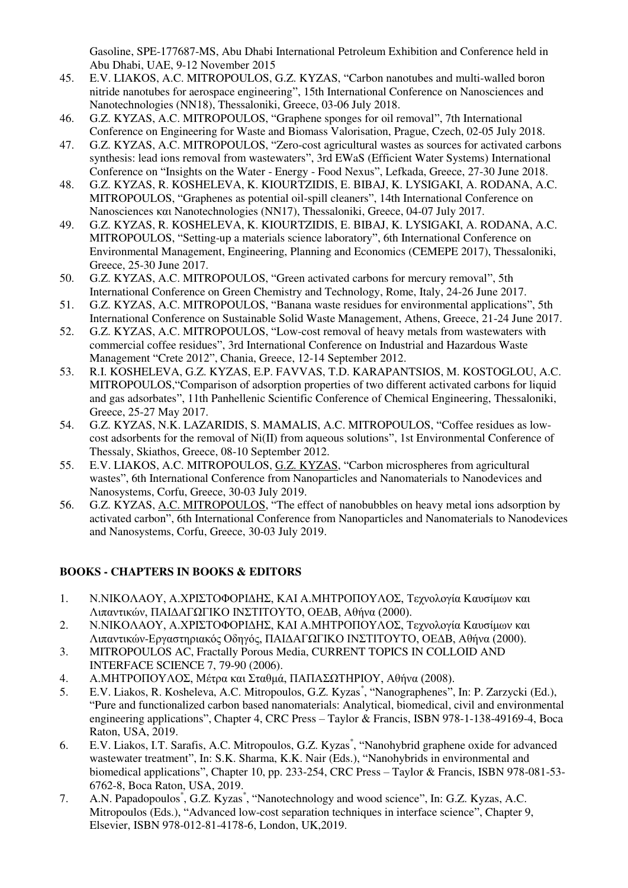Gasoline, SPE-177687-MS, Abu Dhabi International Petroleum Exhibition and Conference held in Abu Dhabi, UAE, 9-12 November 2015

- 45. E.V. LIAKOS, A.C. MITROPOULOS, G.Z. KYZAS, "Carbon nanotubes and multi-walled boron nitride nanotubes for aerospace engineering", 15th International Conference on Nanosciences and Nanotechnologies (NN18), Thessaloniki, Greece, 03-06 July 2018.
- 46. G.Z. KYZAS, A.C. MITROPOULOS, "Graphene sponges for oil removal", 7th International Conference on Engineering for Waste and Biomass Valorisation, Prague, Czech, 02-05 July 2018.
- 47. G.Z. KYZAS, A.C. MITROPOULOS, "Zero-cost agricultural wastes as sources for activated carbons synthesis: lead ions removal from wastewaters", 3rd EWaS (Efficient Water Systems) International Conference on "Insights on the Water - Energy - Food Nexus", Lefkada, Greece, 27-30 June 2018.
- 48. G.Z. KYZAS, R. KOSHELEVA, K. KIOURTZIDIS, E. BIBAJ, K. LYSIGAKI, A. RODANA, A.C. MITROPOULOS, "Graphenes as potential oil-spill cleaners", 14th International Conference on Nanosciences και Nanotechnologies (NN17), Thessaloniki, Greece, 04-07 July 2017.
- 49. G.Z. KYZAS, R. KOSHELEVA, K. KIOURTZIDIS, E. BIBAJ, K. LYSIGAKI, A. RODANA, A.C. MITROPOULOS, "Setting-up a materials science laboratory", 6th International Conference on Environmental Management, Engineering, Planning and Economics (CEMEPE 2017), Thessaloniki, Greece, 25-30 June 2017.
- 50. G.Z. KYZAS, A.C. MITROPOULOS, "Green activated carbons for mercury removal", 5th International Conference on Green Chemistry and Technology, Rome, Italy, 24-26 June 2017.
- 51. G.Z. KYZAS, A.C. MITROPOULOS, "Banana waste residues for environmental applications", 5th International Conference on Sustainable Solid Waste Management, Athens, Greece, 21-24 June 2017.
- 52. G.Z. KYZAS, A.C. MITROPOULOS, "Low-cost removal of heavy metals from wastewaters with commercial coffee residues", 3rd International Conference on Industrial and Hazardous Waste Management "Crete 2012", Chania, Greece, 12-14 September 2012.
- 53. R.I. KOSHELEVA, G.Z. KYZAS, E.P. FAVVAS, T.D. KARAPANTSIOS, M. KOSTOGLOU, A.C. MITROPOULOS,"Comparison of adsorption properties of two different activated carbons for liquid and gas adsorbates", 11th Panhellenic Scientific Conference of Chemical Engineering, Thessaloniki, Greece, 25-27 May 2017.
- 54. G.Z. KYZAS, N.K. LAZARIDIS, S. MAMALIS, A.C. MITROPOULOS, "Coffee residues as lowcost adsorbents for the removal of Ni(II) from aqueous solutions", 1st Environmental Conference of Thessaly, Skiathos, Greece, 08-10 September 2012.
- 55. E.V. LIAKOS, A.C. MITROPOULOS, G.Z. KYZAS, "Carbon microspheres from agricultural wastes", 6th International Conference from Nanoparticles and Nanomaterials to Nanodevices and Nanosystems, Corfu, Greece, 30-03 July 2019.
- 56. G.Z. KYZAS, A.C. MITROPOULOS, "The effect of nanobubbles on heavy metal ions adsorption by activated carbon", 6th International Conference from Nanoparticles and Nanomaterials to Nanodevices and Nanosystems, Corfu, Greece, 30-03 July 2019.

# **BOOKS - CHAPTERS IN BOOKS & EDITORS**

- 1. Ν.ΝΙΚΟΛΑΟΥ, Α.ΧΡΙΣΤΟΦΟΡΙΔΗΣ, ΚΑΙ Α.ΜΗΤΡΟΠΟΥΛΟΣ, Τεχνολογία Καυσίμων και Λιπαντικών, ΠΑΙΔΑΓΩΓΙΚΟ ΙΝΣΤΙΤΟΥΤΟ, ΟΕΔΒ, Αθήνα (2000).
- 2. Ν.ΝΙΚΟΛΑΟΥ, Α.ΧΡΙΣΤΟΦΟΡΙΔΗΣ, ΚΑΙ Α.ΜΗΤΡΟΠΟΥΛΟΣ, Τεχνολογία Καυσίμων και Λιπαντικών-Εργαστηριακός Οδηγός, ΠΑΙΔΑΓΩΓΙΚΟ ΙΝΣΤΙΤΟΥΤΟ, ΟΕΔΒ, Αθήνα (2000).
- 3. MITROPOULOS AC, Fractally Porous Media, CURRENT TOPICS IN COLLOID AND INTERFACE SCIENCE 7, 79-90 (2006).
- 4. Α.ΜΗΤΡΟΠΟΥΛΟΣ, Μέτρα και Σταθμά, ΠΑΠΑΣΩΤΗΡΙΟΥ, Αθήνα (2008).
- 5. E.V. Liakos, R. Kosheleva, A.C. Mitropoulos, G.Z. Kyzas<sup>\*</sup>, "Nanographenes", In: P. Zarzycki (Ed.), "Pure and functionalized carbon based nanomaterials: Analytical, biomedical, civil and environmental engineering applications", Chapter 4, CRC Press – Taylor & Francis, ISBN 978-1-138-49169-4, Boca Raton, USA, 2019.
- 6. E.V. Liakos, I.T. Sarafis, A.C. Mitropoulos, G.Z. Kyzas<sup>\*</sup>, "Nanohybrid graphene oxide for advanced wastewater treatment", In: S.K. Sharma, K.K. Nair (Eds.), "Nanohybrids in environmental and biomedical applications", Chapter 10, pp. 233-254, CRC Press – Taylor & Francis, ISBN 978-081-53- 6762-8, Boca Raton, USA, 2019.
- 7. A.N. Papadopoulos<sup>\*</sup>, G.Z. Kyzas<sup>\*</sup>, "Nanotechnology and wood science", In: G.Z. Kyzas, A.C. Mitropoulos (Eds.), "Advanced low-cost separation techniques in interface science", Chapter 9, Elsevier, ISBN 978-012-81-4178-6, London, UK,2019.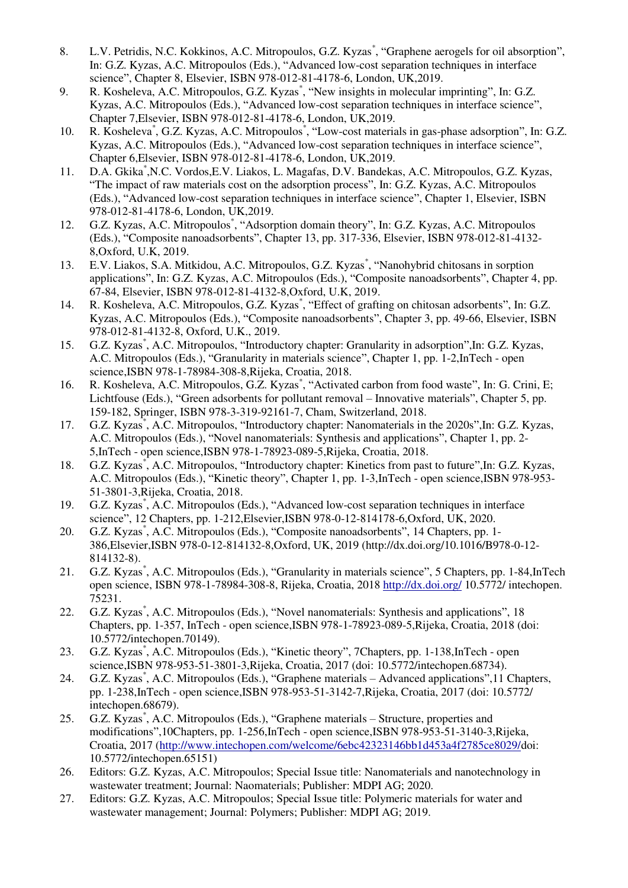- 8. L.V. Petridis, N.C. Kokkinos, A.C. Mitropoulos, G.Z. Kyzas<sup>\*</sup>, "Graphene aerogels for oil absorption", In: G.Z. Kyzas, A.C. Mitropoulos (Eds.), "Advanced low-cost separation techniques in interface science", Chapter 8, Elsevier, ISBN 978-012-81-4178-6, London, UK,2019.
- 9. R. Kosheleva, A.C. Mitropoulos, G.Z. Kyzas<sup>\*</sup>, "New insights in molecular imprinting", In: G.Z. Kyzas, A.C. Mitropoulos (Eds.), "Advanced low-cost separation techniques in interface science", Chapter 7,Elsevier, ISBN 978-012-81-4178-6, London, UK,2019.
- 10. R. Kosheleva<sup>\*</sup>, G.Z. Kyzas, A.C. Mitropoulos<sup>\*</sup>, "Low-cost materials in gas-phase adsorption", In: G.Z. Kyzas, A.C. Mitropoulos (Eds.), "Advanced low-cost separation techniques in interface science", Chapter 6,Elsevier, ISBN 978-012-81-4178-6, London, UK,2019.
- 11. D.A. Gkika\* ,N.C. Vordos,E.V. Liakos, L. Magafas, D.V. Bandekas, A.C. Mitropoulos, G.Z. Kyzas, "The impact of raw materials cost on the adsorption process", In: G.Z. Kyzas, A.C. Mitropoulos (Eds.), "Advanced low-cost separation techniques in interface science", Chapter 1, Elsevier, ISBN 978-012-81-4178-6, London, UK,2019.
- 12. G.Z. Kyzas, A.C. Mitropoulos<sup>\*</sup>, "Adsorption domain theory", In: G.Z. Kyzas, A.C. Mitropoulos (Eds.), "Composite nanoadsorbents", Chapter 13, pp. 317-336, Elsevier, ISBN 978-012-81-4132- 8,Oxford, U.K, 2019.
- 13. E.V. Liakos, S.A. Mitkidou, A.C. Mitropoulos, G.Z. Kyzas<sup>\*</sup>, "Nanohybrid chitosans in sorption applications", In: G.Z. Kyzas, A.C. Mitropoulos (Eds.), "Composite nanoadsorbents", Chapter 4, pp. 67-84, Elsevier, ISBN 978-012-81-4132-8,Oxford, U.K, 2019.
- 14. R. Kosheleva, A.C. Mitropoulos, G.Z. Kyzas<sup>\*</sup>, "Effect of grafting on chitosan adsorbents", In: G.Z. Kyzas, A.C. Mitropoulos (Eds.), "Composite nanoadsorbents", Chapter 3, pp. 49-66, Elsevier, ISBN 978-012-81-4132-8, Oxford, U.K., 2019.
- 15. G.Z. Kyzas\* , A.C. Mitropoulos, "Introductory chapter: Granularity in adsorption",In: G.Z. Kyzas, A.C. Mitropoulos (Eds.), "Granularity in materials science", Chapter 1, pp. 1-2,InTech - open science,ISBN 978-1-78984-308-8,Rijeka, Croatia, 2018.
- 16. R. Kosheleva, A.C. Mitropoulos, G.Z. Kyzas<sup>\*</sup>, "Activated carbon from food waste", In: G. Crini, E; Lichtfouse (Eds.), "Green adsorbents for pollutant removal – Innovative materials", Chapter 5, pp. 159-182, Springer, ISBN 978-3-319-92161-7, Cham, Switzerland, 2018.
- 17. G.Z. Kyzas<sup>\*</sup>, A.C. Mitropoulos, "Introductory chapter: Nanomaterials in the 2020s", In: G.Z. Kyzas, A.C. Mitropoulos (Eds.), "Novel nanomaterials: Synthesis and applications", Chapter 1, pp. 2- 5,InTech - open science,ISBN 978-1-78923-089-5,Rijeka, Croatia, 2018.
- 18. G.Z. Kyzas\* , A.C. Mitropoulos, "Introductory chapter: Kinetics from past to future",In: G.Z. Kyzas, A.C. Mitropoulos (Eds.), "Kinetic theory", Chapter 1, pp. 1-3,InTech - open science,ISBN 978-953- 51-3801-3,Rijeka, Croatia, 2018.
- 19. G.Z. Kyzas\* , A.C. Mitropoulos (Eds.), "Advanced low-cost separation techniques in interface science", 12 Chapters, pp. 1-212,Elsevier,ISBN 978-0-12-814178-6,Oxford, UK, 2020.
- 20. G.Z. Kyzas\* , A.C. Mitropoulos (Eds.), "Composite nanoadsorbents", 14 Chapters, pp. 1- 386,Elsevier,ISBN 978-0-12-814132-8,Oxford, UK, 2019 (http://dx.doi.org/10.1016/B978-0-12- 814132-8).
- 21. G.Z. Kyzas<sup>\*</sup>, A.C. Mitropoulos (Eds.), "Granularity in materials science", 5 Chapters, pp. 1-84, InTech open science, ISBN 978-1-78984-308-8, Rijeka, Croatia, 2018<http://dx.doi.org/>10.5772/ intechopen. 75231.
- 22. G.Z. Kyzas<sup>\*</sup>, A.C. Mitropoulos (Eds.), "Novel nanomaterials: Synthesis and applications", 18 Chapters, pp. 1-357, InTech - open science,ISBN 978-1-78923-089-5,Rijeka, Croatia, 2018 (doi: 10.5772/intechopen.70149).
- 23. G.Z. Kyzas<sup>\*</sup>, A.C. Mitropoulos (Eds.), "Kinetic theory", 7Chapters, pp. 1-138, InTech open science,ISBN 978-953-51-3801-3,Rijeka, Croatia, 2017 (doi: 10.5772/intechopen.68734).
- 24. G.Z. Kyzas\* , A.C. Mitropoulos (Eds.), "Graphene materials Advanced applications",11 Chapters, pp. 1-238,InTech - open science,ISBN 978-953-51-3142-7,Rijeka, Croatia, 2017 (doi: 10.5772/ intechopen.68679).
- 25. G.Z. Kyzas\* , A.C. Mitropoulos (Eds.), "Graphene materials Structure, properties and modifications",10Chapters, pp. 1-256,InTech - open science,ISBN 978-953-51-3140-3,Rijeka, Croatia, 2017 [\(http://www.intechopen.com/welcome/6ebc42323146bb1d453a4f2785ce8029/d](http://www.intechopen.com/welcome/6ebc42323146bb1d453a4f2785ce8029/)oi: 10.5772/intechopen.65151)
- 26. Editors: G.Z. Kyzas, A.C. Mitropoulos; Special Issue title: Nanomaterials and nanotechnology in wastewater treatment; Journal: Naomaterials; Publisher: MDPI AG; 2020.
- 27. Editors: G.Z. Kyzas, A.C. Mitropoulos; Special Issue title: Polymeric materials for water and wastewater management; Journal: Polymers; Publisher: MDPI AG; 2019.